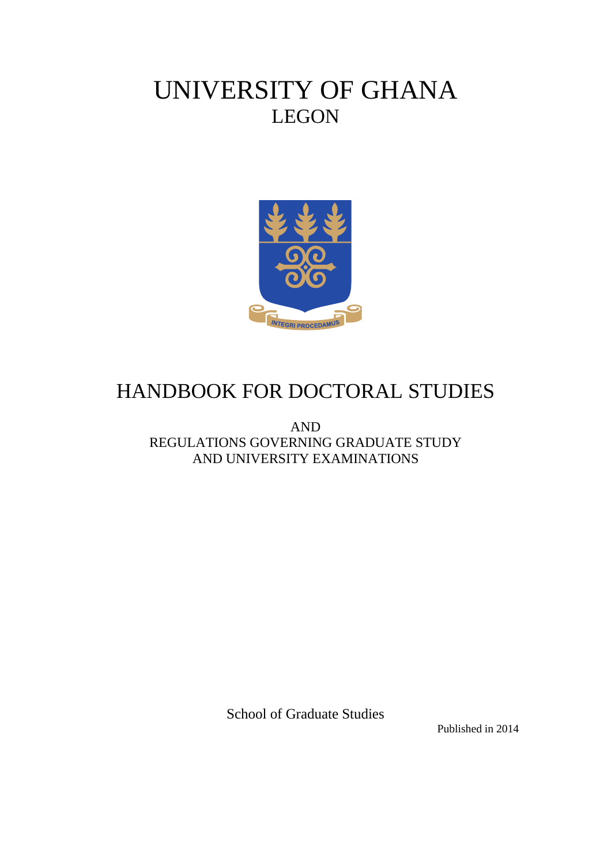# UNIVERSITY OF GHANA LEGON



# HANDBOOK FOR DOCTORAL STUDIES

AND REGULATIONS GOVERNING GRADUATE STUDY AND UNIVERSITY EXAMINATIONS

School of Graduate Studies

Published in 2014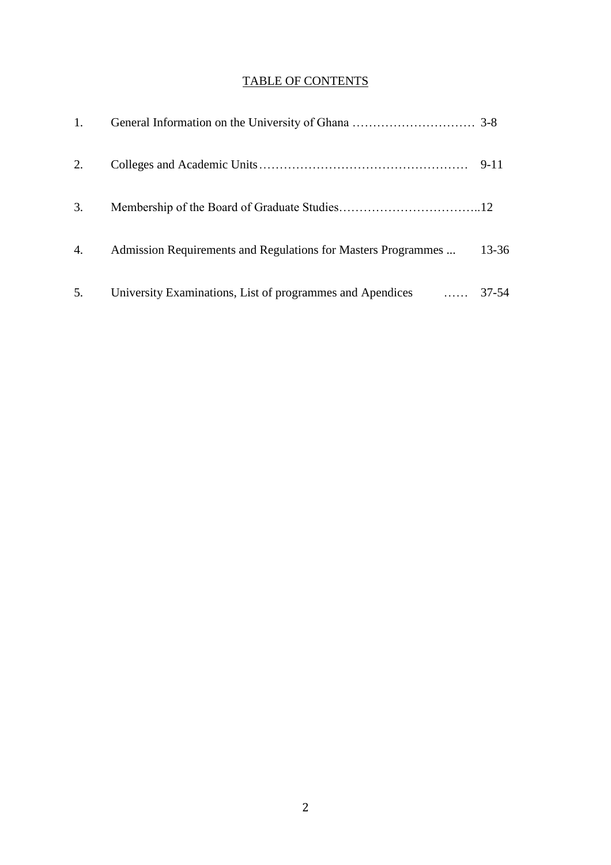# TABLE OF CONTENTS

| 1. |                                                                  |          |
|----|------------------------------------------------------------------|----------|
| 2. |                                                                  | $9 - 11$ |
| 3. |                                                                  |          |
| 4. | Admission Requirements and Regulations for Masters Programmes    | 13-36    |
| 5. | University Examinations, List of programmes and Apendices  37-54 |          |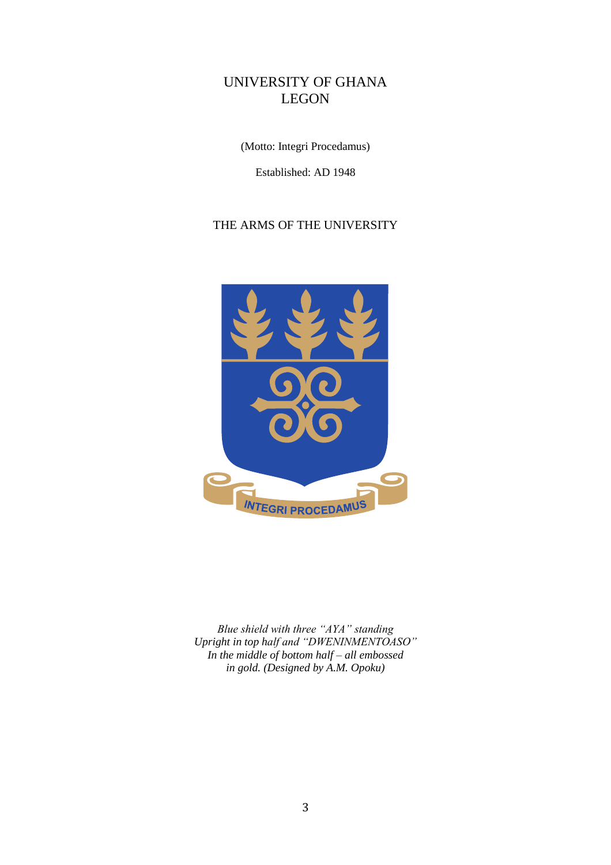# UNIVERSITY OF GHANA LEGON

(Motto: Integri Procedamus)

Established: AD 1948

# THE ARMS OF THE UNIVERSITY



*Blue shield with three "AYA" standing Upright in top half and "DWENINMENTOASO" In the middle of bottom half – all embossed in gold. (Designed by A.M. Opoku)*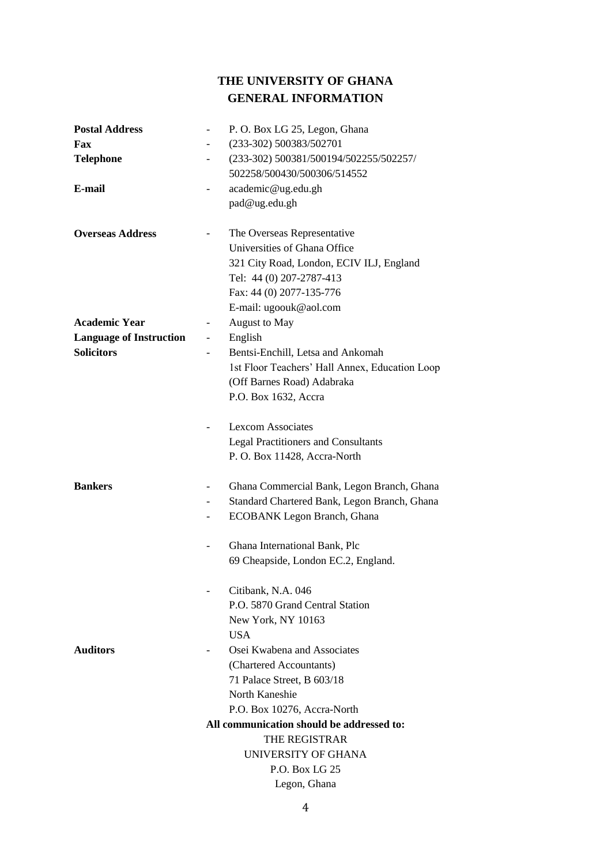# **THE UNIVERSITY OF GHANA GENERAL INFORMATION**

| <b>Postal Address</b>          | P.O. Box LG 25, Legon, Ghana                                             |
|--------------------------------|--------------------------------------------------------------------------|
| Fax                            | (233-302) 500383/502701<br>$\overline{\phantom{a}}$                      |
| <b>Telephone</b>               | (233-302) 500381/500194/502255/502257/                                   |
|                                | 502258/500430/500306/514552                                              |
| E-mail                         | academic@ug.edu.gh<br>$\overline{\phantom{a}}$                           |
|                                | pad@ug.edu.gh                                                            |
| <b>Overseas Address</b>        | The Overseas Representative                                              |
|                                | Universities of Ghana Office                                             |
|                                | 321 City Road, London, ECIV ILJ, England                                 |
|                                | Tel: 44 (0) 207-2787-413                                                 |
|                                | Fax: 44 (0) 2077-135-776                                                 |
|                                | E-mail: ugoouk@aol.com                                                   |
| <b>Academic Year</b>           | August to May<br>$\overline{\phantom{a}}$                                |
| <b>Language of Instruction</b> | English<br>$\overline{\phantom{a}}$                                      |
| <b>Solicitors</b>              | Bentsi-Enchill, Letsa and Ankomah                                        |
|                                | 1st Floor Teachers' Hall Annex, Education Loop                           |
|                                | (Off Barnes Road) Adabraka                                               |
|                                | P.O. Box 1632, Accra                                                     |
|                                | <b>Lexcom Associates</b>                                                 |
|                                | <b>Legal Practitioners and Consultants</b>                               |
|                                | P.O. Box 11428, Accra-North                                              |
| <b>Bankers</b>                 | Ghana Commercial Bank, Legon Branch, Ghana                               |
|                                | Standard Chartered Bank, Legon Branch, Ghana<br>$\overline{\phantom{0}}$ |
|                                | ECOBANK Legon Branch, Ghana                                              |
|                                | Ghana International Bank, Plc                                            |
|                                | 69 Cheapside, London EC.2, England.                                      |
|                                | Citibank, N.A. 046                                                       |
|                                | P.O. 5870 Grand Central Station                                          |
|                                | New York, NY 10163                                                       |
|                                | <b>USA</b>                                                               |
| <b>Auditors</b>                | Osei Kwabena and Associates                                              |
|                                | (Chartered Accountants)                                                  |
|                                | 71 Palace Street, B 603/18                                               |
|                                | North Kaneshie                                                           |
|                                | P.O. Box 10276, Accra-North                                              |
|                                | All communication should be addressed to:                                |
|                                | THE REGISTRAR                                                            |
|                                | UNIVERSITY OF GHANA                                                      |
|                                | P.O. Box LG 25                                                           |
|                                | Legon, Ghana                                                             |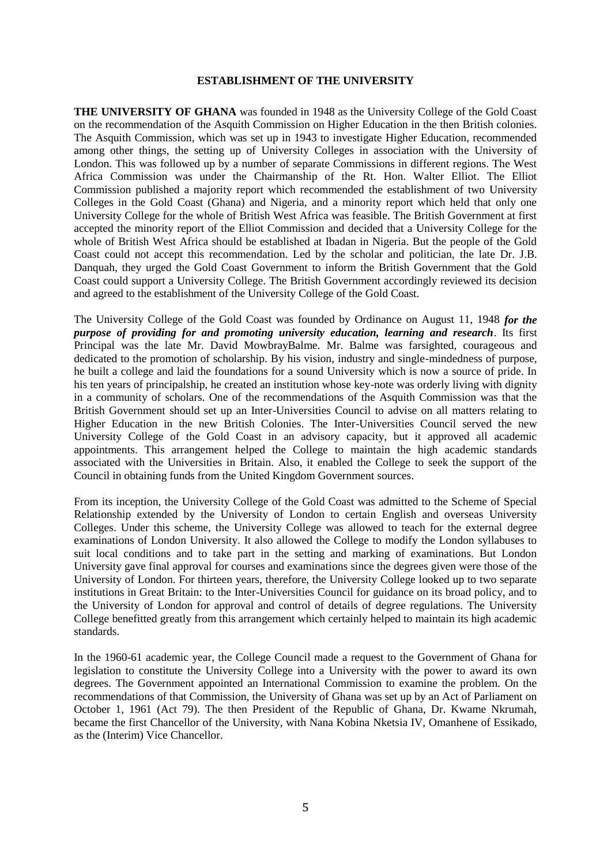#### **ESTABLISHMENT OF THE UNIVERSITY**

**THE UNIVERSITY OF GHANA** was founded in 1948 as the University College of the Gold Coast on the recommendation of the Asquith Commission on Higher Education in the then British colonies. The Asquith Commission, which was set up in 1943 to investigate Higher Education, recommended among other things, the setting up of University Colleges in association with the University of London. This was followed up by a number of separate Commissions in different regions. The West Africa Commission was under the Chairmanship of the Rt. Hon. Walter Elliot. The Elliot Commission published a majority report which recommended the establishment of two University Colleges in the Gold Coast (Ghana) and Nigeria, and a minority report which held that only one University College for the whole of British West Africa was feasible. The British Government at first accepted the minority report of the Elliot Commission and decided that a University College for the whole of British West Africa should be established at Ibadan in Nigeria. But the people of the Gold Coast could not accept this recommendation. Led by the scholar and politician, the late Dr. J.B. Danquah, they urged the Gold Coast Government to inform the British Government that the Gold Coast could support a University College. The British Government accordingly reviewed its decision and agreed to the establishment of the University College of the Gold Coast.

The University College of the Gold Coast was founded by Ordinance on August 11, 1948 *for the purpose of providing for and promoting university education, learning and research*. Its first Principal was the late Mr. David MowbrayBalme. Mr. Balme was farsighted, courageous and dedicated to the promotion of scholarship. By his vision, industry and single-mindedness of purpose, he built a college and laid the foundations for a sound University which is now a source of pride. In his ten years of principalship, he created an institution whose key-note was orderly living with dignity in a community of scholars. One of the recommendations of the Asquith Commission was that the British Government should set up an Inter-Universities Council to advise on all matters relating to Higher Education in the new British Colonies. The Inter-Universities Council served the new University College of the Gold Coast in an advisory capacity, but it approved all academic appointments. This arrangement helped the College to maintain the high academic standards associated with the Universities in Britain. Also, it enabled the College to seek the support of the Council in obtaining funds from the United Kingdom Government sources.

From its inception, the University College of the Gold Coast was admitted to the Scheme of Special Relationship extended by the University of London to certain English and overseas University Colleges. Under this scheme, the University College was allowed to teach for the external degree examinations of London University. It also allowed the College to modify the London syllabuses to suit local conditions and to take part in the setting and marking of examinations. But London University gave final approval for courses and examinations since the degrees given were those of the University of London. For thirteen years, therefore, the University College looked up to two separate institutions in Great Britain: to the Inter-Universities Council for guidance on its broad policy, and to the University of London for approval and control of details of degree regulations. The University College benefitted greatly from this arrangement which certainly helped to maintain its high academic standards.

In the 1960-61 academic year, the College Council made a request to the Government of Ghana for legislation to constitute the University College into a University with the power to award its own degrees. The Government appointed an International Commission to examine the problem. On the recommendations of that Commission, the University of Ghana was set up by an Act of Parliament on October 1, 1961 (Act 79). The then President of the Republic of Ghana, Dr. Kwame Nkrumah, became the first Chancellor of the University, with Nana Kobina Nketsia IV, Omanhene of Essikado, as the (Interim) Vice Chancellor.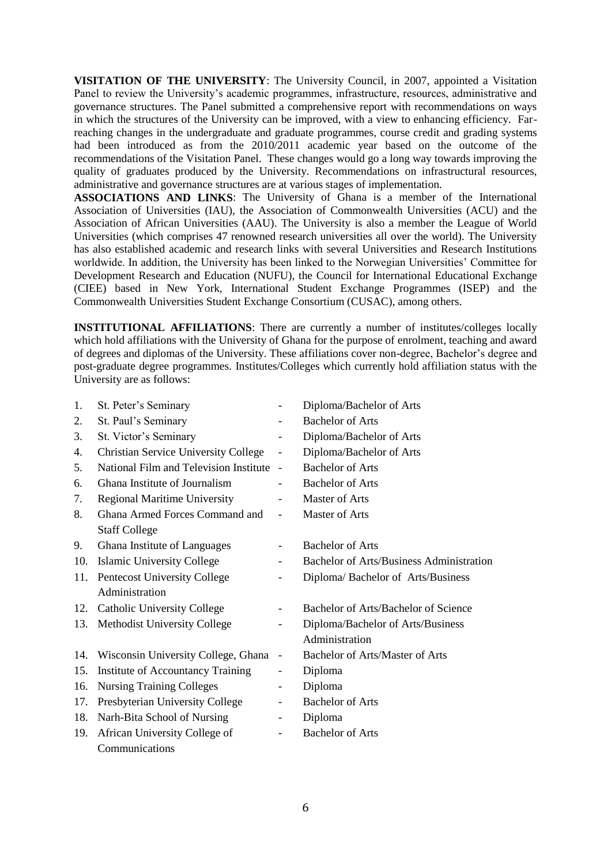**VISITATION OF THE UNIVERSITY**: The University Council, in 2007, appointed a Visitation Panel to review the University's academic programmes, infrastructure, resources, administrative and governance structures. The Panel submitted a comprehensive report with recommendations on ways in which the structures of the University can be improved, with a view to enhancing efficiency. Farreaching changes in the undergraduate and graduate programmes, course credit and grading systems had been introduced as from the 2010/2011 academic year based on the outcome of the recommendations of the Visitation Panel. These changes would go a long way towards improving the quality of graduates produced by the University. Recommendations on infrastructural resources, administrative and governance structures are at various stages of implementation.

**ASSOCIATIONS AND LINKS**: The University of Ghana is a member of the International Association of Universities (IAU), the Association of Commonwealth Universities (ACU) and the Association of African Universities (AAU). The University is also a member the League of World Universities (which comprises 47 renowned research universities all over the world). The University has also established academic and research links with several Universities and Research Institutions worldwide. In addition, the University has been linked to the Norwegian Universities' Committee for Development Research and Education (NUFU), the Council for International Educational Exchange (CIEE) based in New York, International Student Exchange Programmes (ISEP) and the Commonwealth Universities Student Exchange Consortium (CUSAC), among others.

**INSTITUTIONAL AFFILIATIONS**: There are currently a number of institutes/colleges locally which hold affiliations with the University of Ghana for the purpose of enrolment, teaching and award of degrees and diplomas of the University. These affiliations cover non-degree, Bachelor's degree and post-graduate degree programmes. Institutes/Colleges which currently hold affiliation status with the University are as follows:

| 1.  | St. Peter's Seminary                        |                          | Diploma/Bachelor of Arts                        |
|-----|---------------------------------------------|--------------------------|-------------------------------------------------|
| 2.  | St. Paul's Seminary                         |                          | <b>Bachelor of Arts</b>                         |
| 3.  | St. Victor's Seminary                       | -                        | Diploma/Bachelor of Arts                        |
| 4.  | <b>Christian Service University College</b> | $\overline{\phantom{0}}$ | Diploma/Bachelor of Arts                        |
| 5.  | National Film and Television Institute      | $\overline{\phantom{a}}$ | <b>Bachelor of Arts</b>                         |
| 6.  | Ghana Institute of Journalism               |                          | <b>Bachelor of Arts</b>                         |
| 7.  | <b>Regional Maritime University</b>         | -                        | Master of Arts                                  |
| 8.  | Ghana Armed Forces Command and              | $\overline{\phantom{0}}$ | <b>Master of Arts</b>                           |
|     | <b>Staff College</b>                        |                          |                                                 |
| 9.  | Ghana Institute of Languages                |                          | <b>Bachelor of Arts</b>                         |
| 10. | <b>Islamic University College</b>           | -                        | <b>Bachelor of Arts/Business Administration</b> |
|     | 11. Pentecost University College            |                          | Diploma/Bachelor of Arts/Business               |
|     | Administration                              |                          |                                                 |
|     | 12. Catholic University College             | -                        | Bachelor of Arts/Bachelor of Science            |
| 13. | <b>Methodist University College</b>         | $\overline{\phantom{0}}$ | Diploma/Bachelor of Arts/Business               |
|     |                                             |                          | Administration                                  |
| 14. | Wisconsin University College, Ghana         | $\overline{\phantom{0}}$ | Bachelor of Arts/Master of Arts                 |
| 15. | Institute of Accountancy Training           | -                        | Diploma                                         |
| 16. | <b>Nursing Training Colleges</b>            | -                        | Diploma                                         |
| 17. | Presbyterian University College             | $\overline{\phantom{0}}$ | <b>Bachelor of Arts</b>                         |
| 18. | Narh-Bita School of Nursing                 | -                        | Diploma                                         |
| 19. | African University College of               | -                        | <b>Bachelor of Arts</b>                         |
|     | Communications                              |                          |                                                 |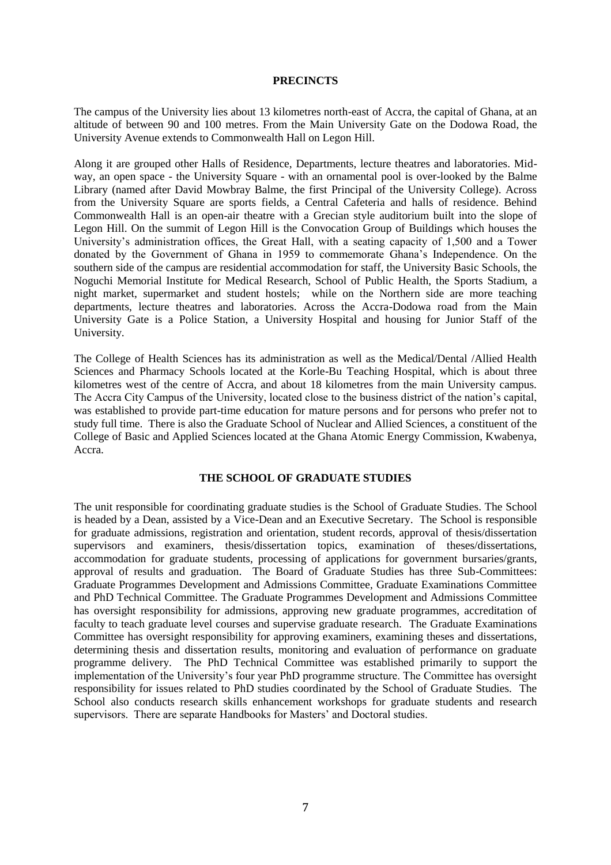#### **PRECINCTS**

The campus of the University lies about 13 kilometres north-east of Accra, the capital of Ghana, at an altitude of between 90 and 100 metres. From the Main University Gate on the Dodowa Road, the University Avenue extends to Commonwealth Hall on Legon Hill.

Along it are grouped other Halls of Residence, Departments, lecture theatres and laboratories. Midway, an open space - the University Square - with an ornamental pool is over-looked by the Balme Library (named after David Mowbray Balme, the first Principal of the University College). Across from the University Square are sports fields, a Central Cafeteria and halls of residence. Behind Commonwealth Hall is an open-air theatre with a Grecian style auditorium built into the slope of Legon Hill. On the summit of Legon Hill is the Convocation Group of Buildings which houses the University's administration offices, the Great Hall, with a seating capacity of 1,500 and a Tower donated by the Government of Ghana in 1959 to commemorate Ghana's Independence. On the southern side of the campus are residential accommodation for staff, the University Basic Schools, the Noguchi Memorial Institute for Medical Research, School of Public Health, the Sports Stadium, a night market, supermarket and student hostels; while on the Northern side are more teaching departments, lecture theatres and laboratories. Across the Accra-Dodowa road from the Main University Gate is a Police Station, a University Hospital and housing for Junior Staff of the University.

The College of Health Sciences has its administration as well as the Medical/Dental /Allied Health Sciences and Pharmacy Schools located at the Korle-Bu Teaching Hospital, which is about three kilometres west of the centre of Accra, and about 18 kilometres from the main University campus. The Accra City Campus of the University, located close to the business district of the nation's capital, was established to provide part-time education for mature persons and for persons who prefer not to study full time. There is also the Graduate School of Nuclear and Allied Sciences, a constituent of the College of Basic and Applied Sciences located at the Ghana Atomic Energy Commission, Kwabenya, Accra.

#### **THE SCHOOL OF GRADUATE STUDIES**

The unit responsible for coordinating graduate studies is the School of Graduate Studies. The School is headed by a Dean, assisted by a Vice-Dean and an Executive Secretary. The School is responsible for graduate admissions, registration and orientation, student records, approval of thesis/dissertation supervisors and examiners, thesis/dissertation topics, examination of theses/dissertations, accommodation for graduate students, processing of applications for government bursaries/grants, approval of results and graduation. The Board of Graduate Studies has three Sub-Committees: Graduate Programmes Development and Admissions Committee, Graduate Examinations Committee and PhD Technical Committee. The Graduate Programmes Development and Admissions Committee has oversight responsibility for admissions, approving new graduate programmes, accreditation of faculty to teach graduate level courses and supervise graduate research. The Graduate Examinations Committee has oversight responsibility for approving examiners, examining theses and dissertations, determining thesis and dissertation results, monitoring and evaluation of performance on graduate programme delivery. The PhD Technical Committee was established primarily to support the implementation of the University's four year PhD programme structure. The Committee has oversight responsibility for issues related to PhD studies coordinated by the School of Graduate Studies. The School also conducts research skills enhancement workshops for graduate students and research supervisors. There are separate Handbooks for Masters' and Doctoral studies.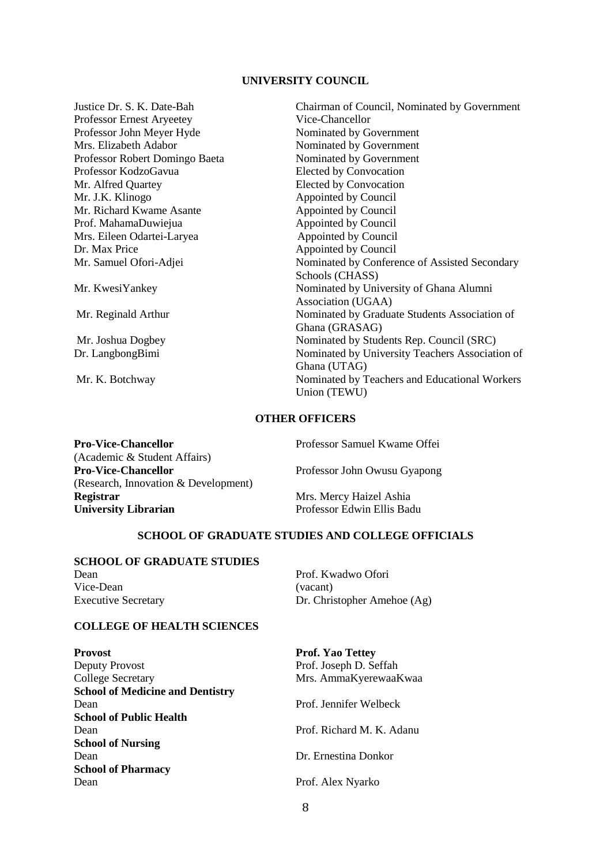#### **UNIVERSITY COUNCIL**

Justice Dr. S. K. Date-Bah Chairman of Council, Nominated by Government Professor Ernest Aryeetey Professor John Meyer Hyde Nominated by Government Mrs. Elizabeth Adabor Nominated by Government<br>Professor Robert Domingo Baeta Nominated by Government Professor Robert Domingo Baeta Professor KodzoGavua Elected by Convocation Mr. Alfred Quartey Elected by Convocation<br>
Mr. J.K. Klinogo Appointed by Council Appointed by Council<br>Appointed by Council Mr. Richard Kwame Asante Appointed by Council<br>
Prof. MahamaDuwiejua Appointed by Council Prof. MahamaDuwiejua Mrs. Eileen Odartei-Laryea Appointed by Council Dr. Max Price Appointed by Council Mr. Samuel Ofori-Adjei Nominated by Conference of Assisted Secondary Schools (CHASS) Mr. KwesiYankey Nominated by University of Ghana Alumni Association (UGAA) Mr. Reginald Arthur Nominated by Graduate Students Association of Ghana (GRASAG) Mr. Joshua Dogbey Nominated by Students Rep. Council (SRC) Dr. LangbongBimi Nominated by University Teachers Association of Ghana (UTAG) Mr. K. Botchway Nominated by Teachers and Educational Workers Union (TEWU)

#### **OTHER OFFICERS**

| Professor Samuel Kwame Offei |
|------------------------------|
|                              |
| Professor John Owusu Gyapong |
|                              |
| Mrs. Mercy Haizel Ashia      |
| Professor Edwin Ellis Badu   |
|                              |

#### **SCHOOL OF GRADUATE STUDIES AND COLLEGE OFFICIALS**

# **SCHOOL OF GRADUATE STUDIES**

Vice-Dean (vacant)

Dean Prof. Kwadwo Ofori Executive Secretary Dr. Christopher Amehoe (Ag)

#### **COLLEGE OF HEALTH SCIENCES**

| <b>Provost</b>                          | <b>Prof. Yao Tettey</b>   |  |  |
|-----------------------------------------|---------------------------|--|--|
| Deputy Provost                          | Prof. Joseph D. Seffah    |  |  |
| <b>College Secretary</b>                | Mrs. AmmaKyerewaaKwaa     |  |  |
| <b>School of Medicine and Dentistry</b> |                           |  |  |
| Dean                                    | Prof. Jennifer Welbeck    |  |  |
| <b>School of Public Health</b>          |                           |  |  |
| Dean                                    | Prof. Richard M. K. Adanu |  |  |
| <b>School of Nursing</b>                |                           |  |  |
| Dean                                    | Dr. Ernestina Donkor      |  |  |
| <b>School of Pharmacy</b>               |                           |  |  |
| Dean                                    | Prof. Alex Nyarko         |  |  |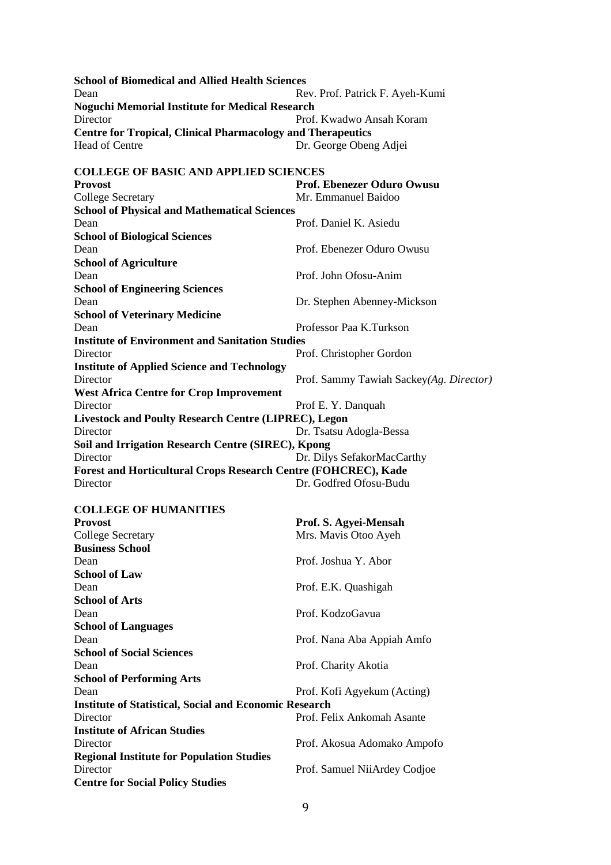**School of Biomedical and Allied Health Sciences** Dean Rev. Prof. Patrick F. Ayeh-Kumi **Noguchi Memorial Institute for Medical Research** Director Prof. Kwadwo Ansah Koram **Centre for Tropical, Clinical Pharmacology and Therapeutics** Dr. George Obeng Adjei **COLLEGE OF BASIC AND APPLIED SCIENCES Provost**<br> **Prof. Ebenezer Oduro Owusu**<br> **Prof. Ebenezer Oduro Owusu**<br> **Prof. Ebenezer Oduro Owusu**<br> **Prof. Ebenezer Oduro Owusu** Mr. Emmanuel Baidoo **School of Physical and Mathematical Sciences** Dean Prof. Daniel K. Asiedu **School of Biological Sciences** Dean Prof. Ebenezer Oduro Owusu **School of Agriculture** Dean Prof. John Ofosu-Anim **School of Engineering Sciences** Dean Dr. Stephen Abenney-Mickson **School of Veterinary Medicine** Dean Professor Paa K.Turkson **Institute of Environment and Sanitation Studies** Director Prof. Christopher Gordon **Institute of Applied Science and Technology** Director Prof. Sammy Tawiah Sackey*(Ag. Director)* **West Africa Centre for Crop Improvement** Prof E. Y. Danquah **Livestock and Poulty Research Centre (LIPREC), Legon** Director Dr. Tsatsu Adogla-Bessa **Soil and Irrigation Research Centre (SIREC), Kpong** Director Dr. Dilys SefakorMacCarthy **Forest and Horticultural Crops Research Centre (FOHCREC), Kade** Director Dr. Godfred Ofosu-Budu **COLLEGE OF HUMANITIES Provost Prof. S. Agyei-Mensah** College Secretary Mrs. Mavis Otoo Ayeh **Business School** Dean Prof. Joshua Y. Abor **School of Law** Dean Prof. E.K. Quashigah **School of Arts** Dean Prof. KodzoGavua **School of Languages** Dean Prof. Nana Aba Appiah Amfo **School of Social Sciences** Dean Prof. Charity Akotia **School of Performing Arts** Dean Prof. Kofi Agyekum (Acting) **Institute of Statistical, Social and Economic Research** Director Prof. Felix Ankomah Asante

Director Prof. Akosua Adomako Ampofo **Regional Institute for Population Studies**

Director Prof. Samuel NiiArdey Codjoe

**Institute of African Studies**

**Centre for Social Policy Studies**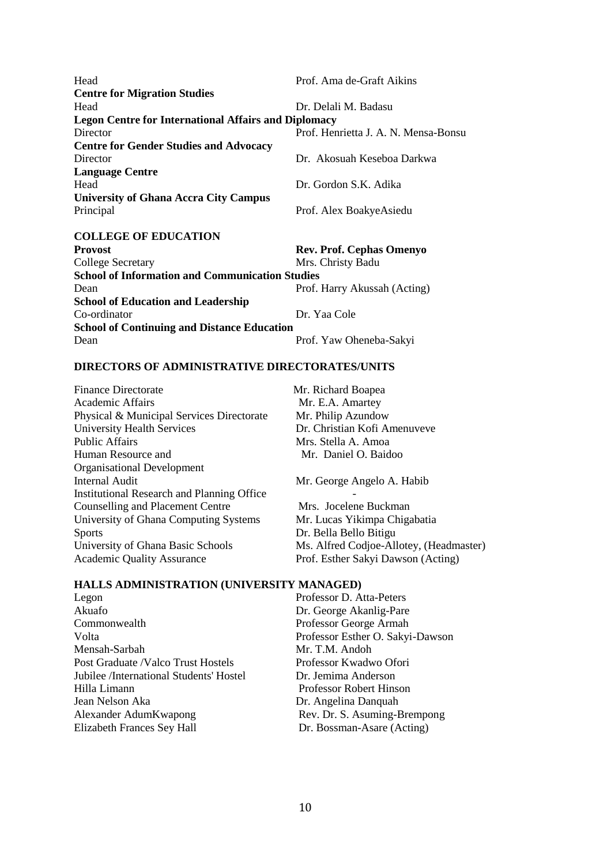Head Prof. Ama de-Graft Aikins **Centre for Migration Studies** Head Dr. Delali M. Badasu **Legon Centre for International Affairs and Diplomacy** Director Prof. Henrietta J. A. N. Mensa-Bonsu **Centre for Gender Studies and Advocacy** Director Dr. Akosuah Keseboa Darkwa **Language Centre** Head Dr. Gordon S.K. Adika **University of Ghana Accra City Campus** Principal Prof. Alex BoakyeAsiedu **COLLEGE OF EDUCATION Provost Rev. Prof. Cephas Omenyo**

College Secretary Mrs. Christy Badu **School of Information and Communication Studies** Dean Prof. Harry Akussah (Acting) **School of Education and Leadership** Co-ordinator Dr. Yaa Cole **School of Continuing and Distance Education** Dean Prof. Yaw Oheneba-Sakyi

#### **DIRECTORS OF ADMINISTRATIVE DIRECTORATES/UNITS**

Finance Directorate Mr. Richard Boapea<br>Academic Affairs Mr. E.A. Amartey Physical & Municipal Services Directorate Mr. Philip Azundow<br>University Health Services Dr. Christian Kofi Ai Public Affairs Mrs. Stella A. Amoa Human Resource and Mr. Daniel O. Baidoo Organisational Development Internal Audit Mr. George Angelo A. Habib Institutional Research and Planning Office - Counselling and Placement Centre Mrs. Jocelene Buckman University of Ghana Computing Systems Mr. Lucas Yikimpa Chigabatia Sports Dr. Bella Bello Bitigu University of Ghana Basic Schools Ms. Alfred Codjoe-Allotey, (Headmaster) Academic Quality Assurance Prof. Esther Sakyi Dawson (Acting)

Mr. E.A. Amartey Dr. Christian Kofi Amenuveve

#### **HALLS ADMINISTRATION (UNIVERSITY MANAGED)**

Legon Professor D. Atta-Peters Akuafo Dr. George Akanlig-Pare Commonwealth Professor George Armah Volta Professor Esther O. Sakyi-Dawson Mensah-Sarbah Mr. T.M. Andoh Post Graduate /Valco Trust Hostels Professor Kwadwo Ofori<br>
Jubilee /International Students' Hostel Dr. Jemima Anderson Jubilee /International Students' Hostel Hilla Limann Professor Robert Hinson Jean Nelson Aka Dr. Angelina Danquah Alexander AdumKwapong Rev. Dr. S. Asuming-Brempong Elizabeth Frances Sey Hall Dr. Bossman-Asare (Acting)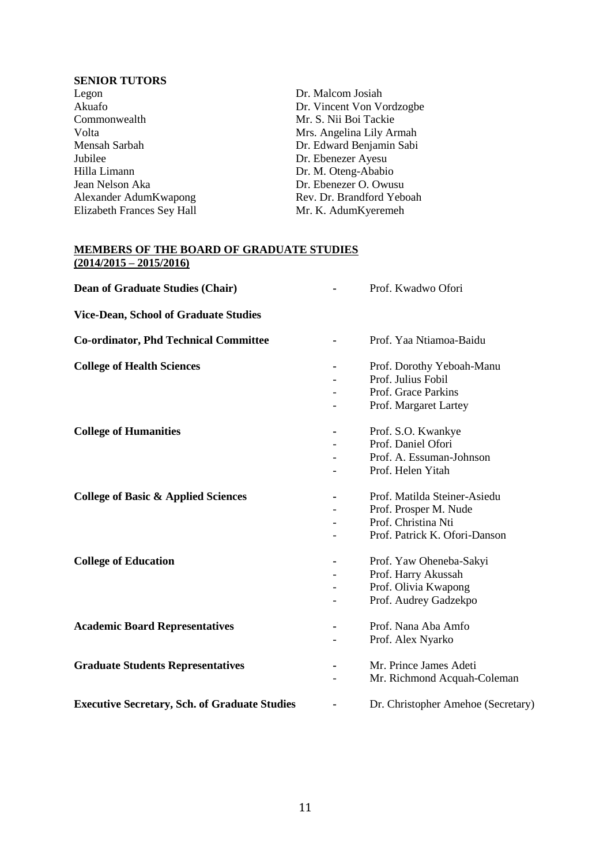#### **SENIOR TUTORS**

| Legon                      | Dr. Malcom Josiah         |
|----------------------------|---------------------------|
| Akuafo                     | Dr. Vincent Von Vordzogbe |
| Commonwealth               | Mr. S. Nii Boi Tackie     |
| Volta                      | Mrs. Angelina Lily Armah  |
| Mensah Sarbah              | Dr. Edward Benjamin Sabi  |
| Jubilee                    | Dr. Ebenezer Ayesu        |
| Hilla Limann               | Dr. M. Oteng-Ababio       |
| Jean Nelson Aka            | Dr. Ebenezer O. Owusu     |
| Alexander AdumKwapong      | Rev. Dr. Brandford Yeboah |
| Elizabeth Frances Sey Hall | Mr. K. AdumKyeremeh       |
|                            |                           |

#### **MEMBERS OF THE BOARD OF GRADUATE STUDIES (2014/2015 – 2015/2016)**

| <b>Dean of Graduate Studies (Chair)</b>              |    | Prof. Kwadwo Ofori                 |
|------------------------------------------------------|----|------------------------------------|
| <b>Vice-Dean, School of Graduate Studies</b>         |    |                                    |
| <b>Co-ordinator, Phd Technical Committee</b>         | Ξ. | Prof. Yaa Ntiamoa-Baidu            |
| <b>College of Health Sciences</b>                    | Ξ. | Prof. Dorothy Yeboah-Manu          |
|                                                      |    | Prof. Julius Fobil                 |
|                                                      |    | Prof. Grace Parkins                |
|                                                      |    | Prof. Margaret Lartey              |
| <b>College of Humanities</b>                         |    | Prof. S.O. Kwankye                 |
|                                                      |    | Prof. Daniel Ofori                 |
|                                                      |    | Prof. A. Essuman-Johnson           |
|                                                      |    | Prof. Helen Yitah                  |
| <b>College of Basic &amp; Applied Sciences</b>       |    | Prof. Matilda Steiner-Asiedu       |
|                                                      |    | Prof. Prosper M. Nude              |
|                                                      |    | Prof. Christina Nti                |
|                                                      |    | Prof. Patrick K. Ofori-Danson      |
| <b>College of Education</b>                          | ٠  | Prof. Yaw Oheneba-Sakyi            |
|                                                      |    | Prof. Harry Akussah                |
|                                                      |    | Prof. Olivia Kwapong               |
|                                                      |    | Prof. Audrey Gadzekpo              |
| <b>Academic Board Representatives</b>                |    | Prof. Nana Aba Amfo                |
|                                                      |    | Prof. Alex Nyarko                  |
| <b>Graduate Students Representatives</b>             |    | Mr. Prince James Adeti             |
|                                                      |    | Mr. Richmond Acquah-Coleman        |
|                                                      |    |                                    |
| <b>Executive Secretary, Sch. of Graduate Studies</b> |    | Dr. Christopher Amehoe (Secretary) |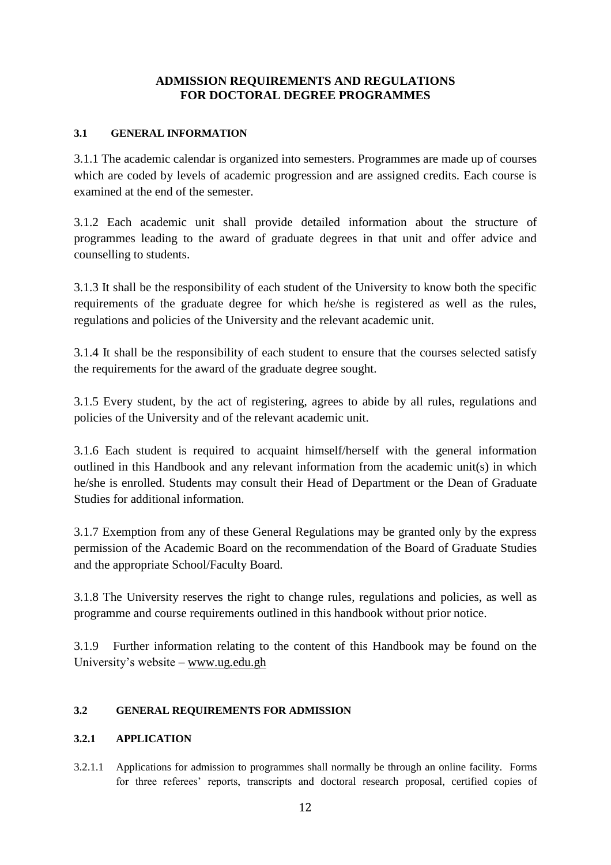## **ADMISSION REQUIREMENTS AND REGULATIONS FOR DOCTORAL DEGREE PROGRAMMES**

#### **3.1 GENERAL INFORMATION**

3.1.1 The academic calendar is organized into semesters. Programmes are made up of courses which are coded by levels of academic progression and are assigned credits. Each course is examined at the end of the semester.

3.1.2 Each academic unit shall provide detailed information about the structure of programmes leading to the award of graduate degrees in that unit and offer advice and counselling to students.

3.1.3 It shall be the responsibility of each student of the University to know both the specific requirements of the graduate degree for which he/she is registered as well as the rules, regulations and policies of the University and the relevant academic unit.

3.1.4 It shall be the responsibility of each student to ensure that the courses selected satisfy the requirements for the award of the graduate degree sought.

3.1.5 Every student, by the act of registering, agrees to abide by all rules, regulations and policies of the University and of the relevant academic unit.

3.1.6 Each student is required to acquaint himself/herself with the general information outlined in this Handbook and any relevant information from the academic unit(s) in which he/she is enrolled. Students may consult their Head of Department or the Dean of Graduate Studies for additional information.

3.1.7 Exemption from any of these General Regulations may be granted only by the express permission of the Academic Board on the recommendation of the Board of Graduate Studies and the appropriate School/Faculty Board.

3.1.8 The University reserves the right to change rules, regulations and policies, as well as programme and course requirements outlined in this handbook without prior notice.

3.1.9 Further information relating to the content of this Handbook may be found on the University's website – [www.ug.edu.gh](http://www.ug.edu.gh/)

#### **3.2 GENERAL REQUIREMENTS FOR ADMISSION**

#### **3.2.1 APPLICATION**

3.2.1.1 Applications for admission to programmes shall normally be through an online facility. Forms for three referees' reports, transcripts and doctoral research proposal, certified copies of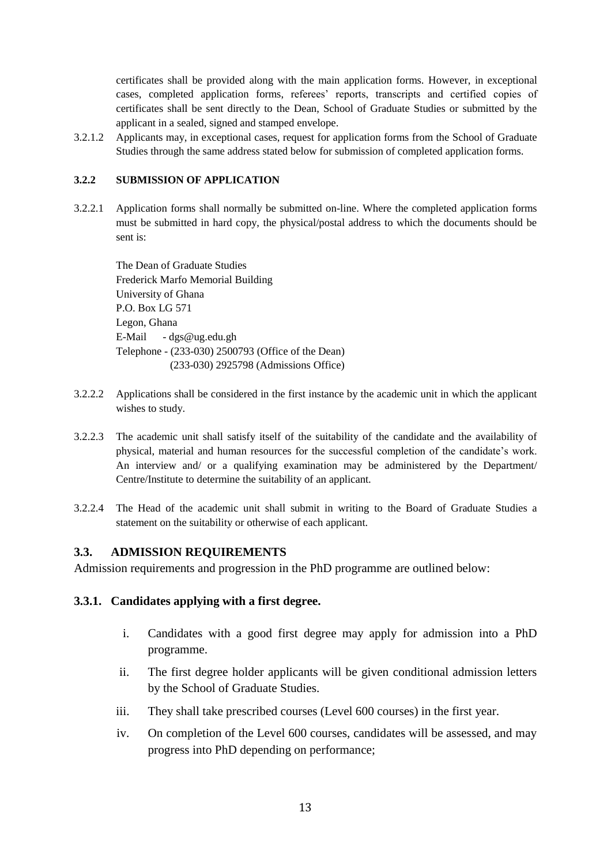certificates shall be provided along with the main application forms. However, in exceptional cases, completed application forms, referees' reports, transcripts and certified copies of certificates shall be sent directly to the Dean, School of Graduate Studies or submitted by the applicant in a sealed, signed and stamped envelope.

3.2.1.2 Applicants may, in exceptional cases, request for application forms from the School of Graduate Studies through the same address stated below for submission of completed application forms.

#### **3.2.2 SUBMISSION OF APPLICATION**

3.2.2.1 Application forms shall normally be submitted on-line. Where the completed application forms must be submitted in hard copy, the physical/postal address to which the documents should be sent is:

The Dean of Graduate Studies Frederick Marfo Memorial Building University of Ghana P.O. Box LG 571 Legon, Ghana E-Mail - dgs@ug.edu.gh Telephone - (233-030) 2500793 (Office of the Dean) (233-030) 2925798 (Admissions Office)

- 3.2.2.2 Applications shall be considered in the first instance by the academic unit in which the applicant wishes to study.
- 3.2.2.3 The academic unit shall satisfy itself of the suitability of the candidate and the availability of physical, material and human resources for the successful completion of the candidate's work. An interview and/ or a qualifying examination may be administered by the Department/ Centre/Institute to determine the suitability of an applicant.
- 3.2.2.4 The Head of the academic unit shall submit in writing to the Board of Graduate Studies a statement on the suitability or otherwise of each applicant.

#### **3.3. ADMISSION REQUIREMENTS**

Admission requirements and progression in the PhD programme are outlined below:

#### **3.3.1. Candidates applying with a first degree.**

- i. Candidates with a good first degree may apply for admission into a PhD programme.
- ii. The first degree holder applicants will be given conditional admission letters by the School of Graduate Studies.
- iii. They shall take prescribed courses (Level 600 courses) in the first year.
- iv. On completion of the Level 600 courses, candidates will be assessed, and may progress into PhD depending on performance;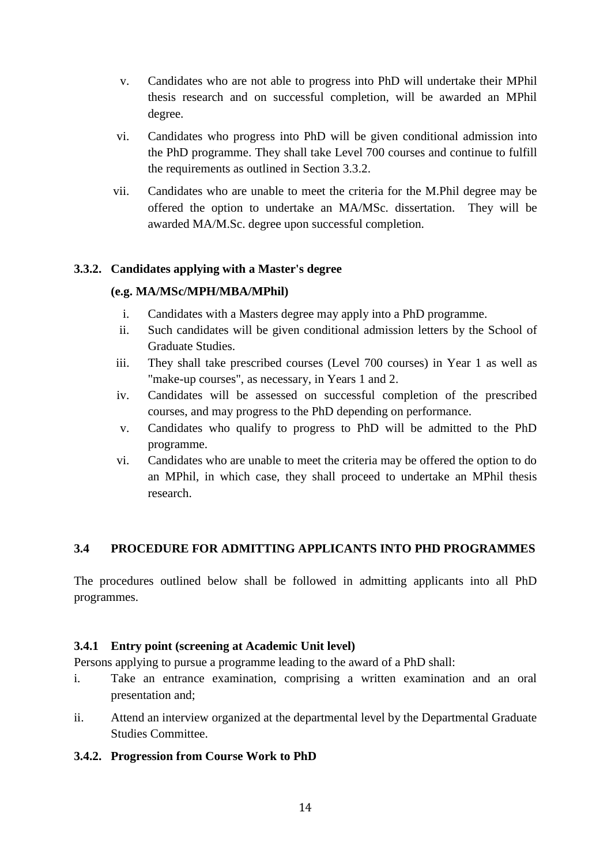- v. Candidates who are not able to progress into PhD will undertake their MPhil thesis research and on successful completion, will be awarded an MPhil degree.
- vi. Candidates who progress into PhD will be given conditional admission into the PhD programme. They shall take Level 700 courses and continue to fulfill the requirements as outlined in Section 3.3.2.
- vii. Candidates who are unable to meet the criteria for the M.Phil degree may be offered the option to undertake an MA/MSc. dissertation. They will be awarded MA/M.Sc. degree upon successful completion.

# **3.3.2. Candidates applying with a Master's degree**

# **(e.g. MA/MSc/MPH/MBA/MPhil)**

- i. Candidates with a Masters degree may apply into a PhD programme.
- ii. Such candidates will be given conditional admission letters by the School of Graduate Studies.
- iii. They shall take prescribed courses (Level 700 courses) in Year 1 as well as "make-up courses", as necessary, in Years 1 and 2.
- iv. Candidates will be assessed on successful completion of the prescribed courses, and may progress to the PhD depending on performance.
- v. Candidates who qualify to progress to PhD will be admitted to the PhD programme.
- vi. Candidates who are unable to meet the criteria may be offered the option to do an MPhil, in which case, they shall proceed to undertake an MPhil thesis research.

# **3.4 PROCEDURE FOR ADMITTING APPLICANTS INTO PHD PROGRAMMES**

The procedures outlined below shall be followed in admitting applicants into all PhD programmes.

#### **3.4.1 Entry point (screening at Academic Unit level)**

Persons applying to pursue a programme leading to the award of a PhD shall:

- i. Take an entrance examination, comprising a written examination and an oral presentation and;
- ii. Attend an interview organized at the departmental level by the Departmental Graduate Studies Committee.

#### **3.4.2. Progression from Course Work to PhD**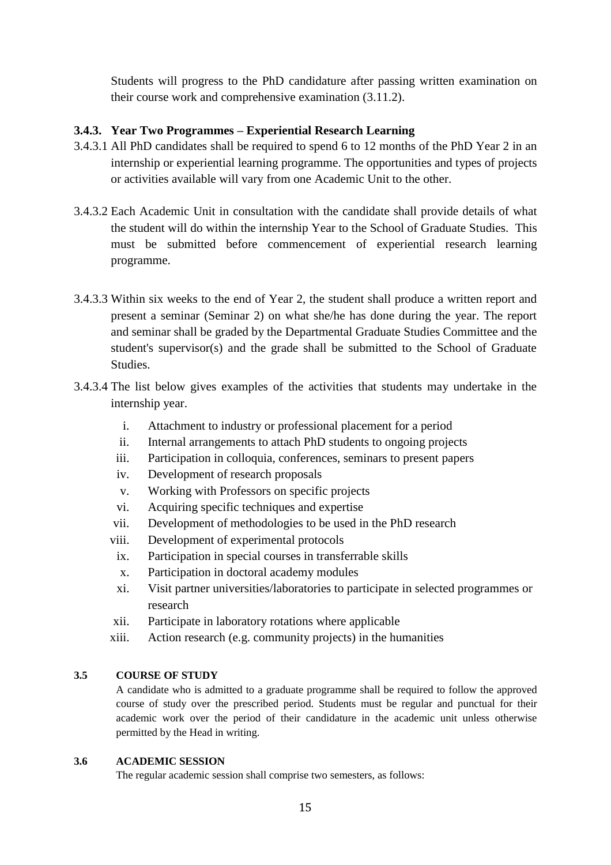Students will progress to the PhD candidature after passing written examination on their course work and comprehensive examination (3.11.2).

# **3.4.3. Year Two Programmes – Experiential Research Learning**

- 3.4.3.1 All PhD candidates shall be required to spend 6 to 12 months of the PhD Year 2 in an internship or experiential learning programme. The opportunities and types of projects or activities available will vary from one Academic Unit to the other.
- 3.4.3.2 Each Academic Unit in consultation with the candidate shall provide details of what the student will do within the internship Year to the School of Graduate Studies. This must be submitted before commencement of experiential research learning programme.
- 3.4.3.3 Within six weeks to the end of Year 2, the student shall produce a written report and present a seminar (Seminar 2) on what she/he has done during the year. The report and seminar shall be graded by the Departmental Graduate Studies Committee and the student's supervisor(s) and the grade shall be submitted to the School of Graduate Studies.
- 3.4.3.4 The list below gives examples of the activities that students may undertake in the internship year.
	- i. Attachment to industry or professional placement for a period
	- ii. Internal arrangements to attach PhD students to ongoing projects
	- iii. Participation in colloquia, conferences, seminars to present papers
	- iv. Development of research proposals
	- v. Working with Professors on specific projects
	- vi. Acquiring specific techniques and expertise
	- vii. Development of methodologies to be used in the PhD research
	- viii. Development of experimental protocols
	- ix. Participation in special courses in transferrable skills
	- x. Participation in doctoral academy modules
	- xi. Visit partner universities/laboratories to participate in selected programmes or research
	- xii. Participate in laboratory rotations where applicable
	- xiii. Action research (e.g. community projects) in the humanities

#### **3.5 COURSE OF STUDY**

A candidate who is admitted to a graduate programme shall be required to follow the approved course of study over the prescribed period. Students must be regular and punctual for their academic work over the period of their candidature in the academic unit unless otherwise permitted by the Head in writing.

#### **3.6 ACADEMIC SESSION**

The regular academic session shall comprise two semesters, as follows: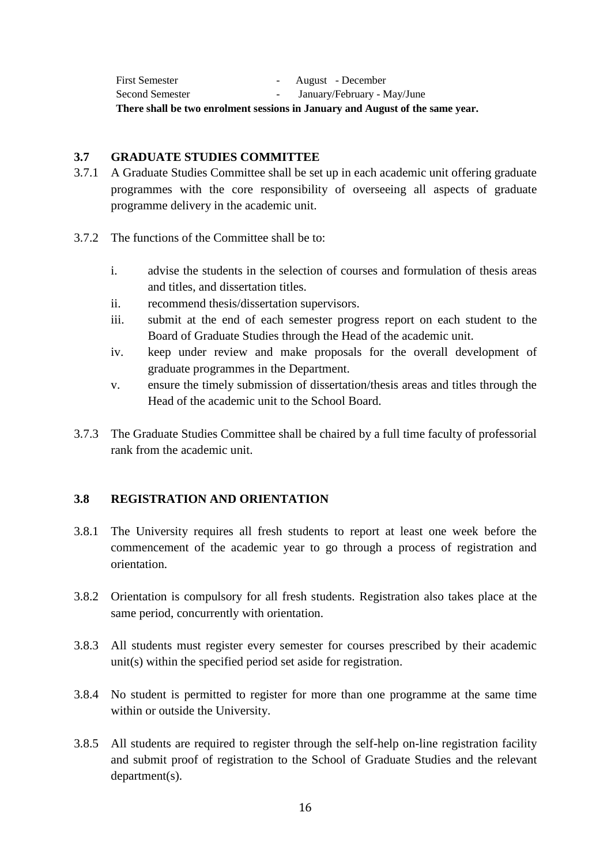First Semester - August - December Second Semester - January/February - May/June **There shall be two enrolment sessions in January and August of the same year.**

#### **3.7 GRADUATE STUDIES COMMITTEE**

- 3.7.1 A Graduate Studies Committee shall be set up in each academic unit offering graduate programmes with the core responsibility of overseeing all aspects of graduate programme delivery in the academic unit.
- 3.7.2 The functions of the Committee shall be to:
	- i. advise the students in the selection of courses and formulation of thesis areas and titles, and dissertation titles.
	- ii. recommend thesis/dissertation supervisors.
	- iii. submit at the end of each semester progress report on each student to the Board of Graduate Studies through the Head of the academic unit.
	- iv. keep under review and make proposals for the overall development of graduate programmes in the Department.
	- v. ensure the timely submission of dissertation/thesis areas and titles through the Head of the academic unit to the School Board.
- 3.7.3 The Graduate Studies Committee shall be chaired by a full time faculty of professorial rank from the academic unit.

# **3.8 REGISTRATION AND ORIENTATION**

- 3.8.1 The University requires all fresh students to report at least one week before the commencement of the academic year to go through a process of registration and orientation.
- 3.8.2 Orientation is compulsory for all fresh students. Registration also takes place at the same period, concurrently with orientation.
- 3.8.3 All students must register every semester for courses prescribed by their academic unit(s) within the specified period set aside for registration.
- 3.8.4 No student is permitted to register for more than one programme at the same time within or outside the University.
- 3.8.5 All students are required to register through the self-help on-line registration facility and submit proof of registration to the School of Graduate Studies and the relevant department(s).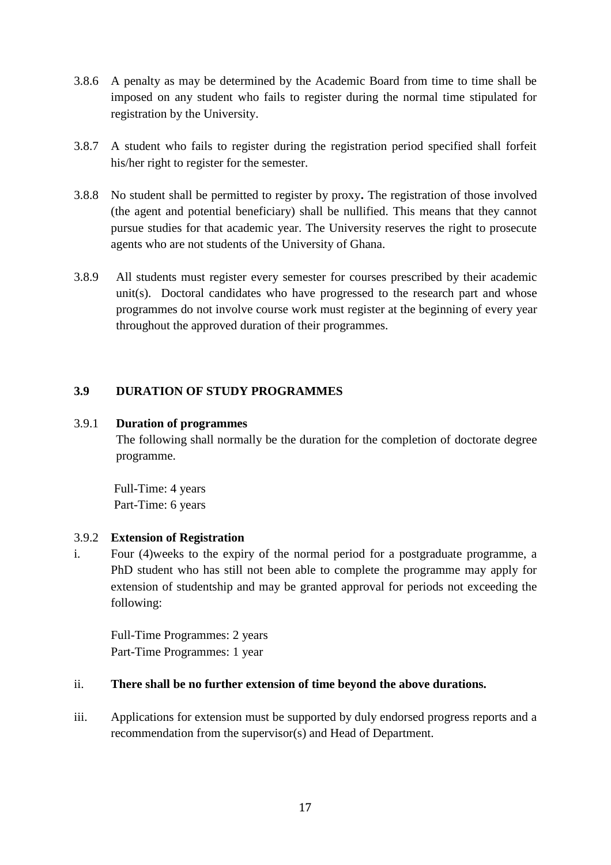- 3.8.6 A penalty as may be determined by the Academic Board from time to time shall be imposed on any student who fails to register during the normal time stipulated for registration by the University.
- 3.8.7 A student who fails to register during the registration period specified shall forfeit his/her right to register for the semester.
- 3.8.8 No student shall be permitted to register by proxy**.** The registration of those involved (the agent and potential beneficiary) shall be nullified. This means that they cannot pursue studies for that academic year. The University reserves the right to prosecute agents who are not students of the University of Ghana.
- 3.8.9 All students must register every semester for courses prescribed by their academic unit(s). Doctoral candidates who have progressed to the research part and whose programmes do not involve course work must register at the beginning of every year throughout the approved duration of their programmes.

# **3.9 DURATION OF STUDY PROGRAMMES**

#### 3.9.1 **Duration of programmes**

The following shall normally be the duration for the completion of doctorate degree programme.

 Full-Time: 4 years Part-Time: 6 years

#### 3.9.2 **Extension of Registration**

i. Four (4)weeks to the expiry of the normal period for a postgraduate programme, a PhD student who has still not been able to complete the programme may apply for extension of studentship and may be granted approval for periods not exceeding the following:

Full-Time Programmes: 2 years Part-Time Programmes: 1 year

### ii. **There shall be no further extension of time beyond the above durations.**

iii. Applications for extension must be supported by duly endorsed progress reports and a recommendation from the supervisor(s) and Head of Department.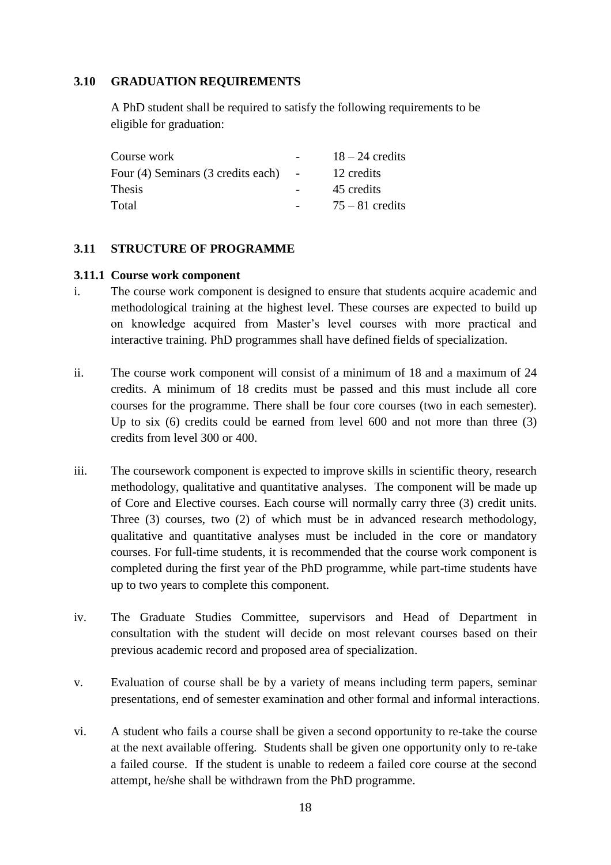## **3.10 GRADUATION REQUIREMENTS**

A PhD student shall be required to satisfy the following requirements to be eligible for graduation:

| Course work                        |        | $18 - 24$ credits |
|------------------------------------|--------|-------------------|
| Four (4) Seminars (3 credits each) | $\sim$ | 12 credits        |
| Thesis                             |        | 45 credits        |
| Total                              |        | $75 - 81$ credits |

#### **3.11 STRUCTURE OF PROGRAMME**

#### **3.11.1 Course work component**

- i. The course work component is designed to ensure that students acquire academic and methodological training at the highest level. These courses are expected to build up on knowledge acquired from Master's level courses with more practical and interactive training. PhD programmes shall have defined fields of specialization.
- ii. The course work component will consist of a minimum of 18 and a maximum of 24 credits. A minimum of 18 credits must be passed and this must include all core courses for the programme. There shall be four core courses (two in each semester). Up to six (6) credits could be earned from level 600 and not more than three (3) credits from level 300 or 400.
- iii. The coursework component is expected to improve skills in scientific theory, research methodology, qualitative and quantitative analyses. The component will be made up of Core and Elective courses. Each course will normally carry three (3) credit units. Three (3) courses, two (2) of which must be in advanced research methodology, qualitative and quantitative analyses must be included in the core or mandatory courses. For full-time students, it is recommended that the course work component is completed during the first year of the PhD programme, while part-time students have up to two years to complete this component.
- iv. The Graduate Studies Committee, supervisors and Head of Department in consultation with the student will decide on most relevant courses based on their previous academic record and proposed area of specialization.
- v. Evaluation of course shall be by a variety of means including term papers, seminar presentations, end of semester examination and other formal and informal interactions.
- vi. A student who fails a course shall be given a second opportunity to re-take the course at the next available offering. Students shall be given one opportunity only to re-take a failed course. If the student is unable to redeem a failed core course at the second attempt, he/she shall be withdrawn from the PhD programme.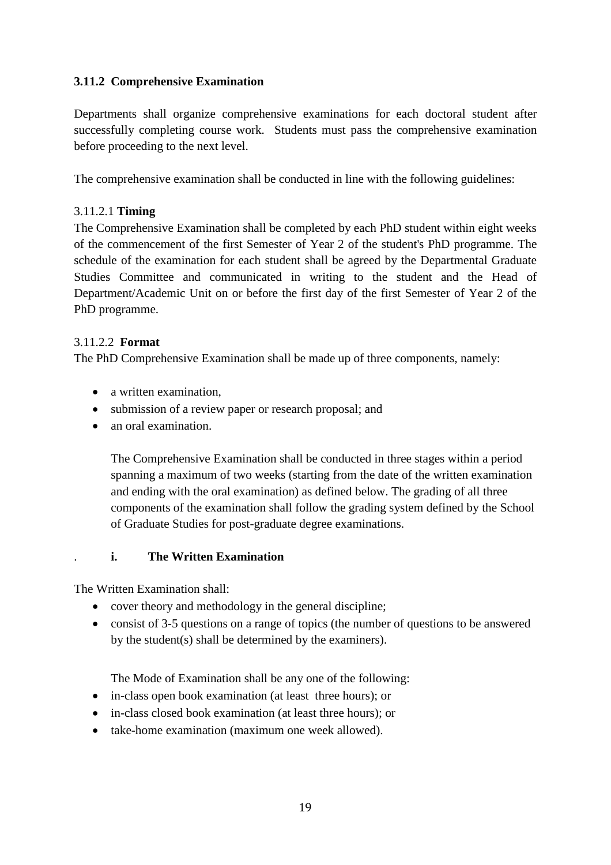# **3.11.2 Comprehensive Examination**

Departments shall organize comprehensive examinations for each doctoral student after successfully completing course work. Students must pass the comprehensive examination before proceeding to the next level.

The comprehensive examination shall be conducted in line with the following guidelines:

# 3.11.2.1 **Timing**

The Comprehensive Examination shall be completed by each PhD student within eight weeks of the commencement of the first Semester of Year 2 of the student's PhD programme. The schedule of the examination for each student shall be agreed by the Departmental Graduate Studies Committee and communicated in writing to the student and the Head of Department/Academic Unit on or before the first day of the first Semester of Year 2 of the PhD programme.

# 3.11.2.2 **Format**

The PhD Comprehensive Examination shall be made up of three components, namely:

- a written examination.
- submission of a review paper or research proposal; and
- an oral examination.

The Comprehensive Examination shall be conducted in three stages within a period spanning a maximum of two weeks (starting from the date of the written examination and ending with the oral examination) as defined below. The grading of all three components of the examination shall follow the grading system defined by the School of Graduate Studies for post-graduate degree examinations.

# . **i. The Written Examination**

The Written Examination shall:

- cover theory and methodology in the general discipline;
- consist of 3-5 questions on a range of topics (the number of questions to be answered by the student(s) shall be determined by the examiners).

The Mode of Examination shall be any one of the following:

- in-class open book examination (at least three hours); or
- in-class closed book examination (at least three hours); or
- take-home examination (maximum one week allowed).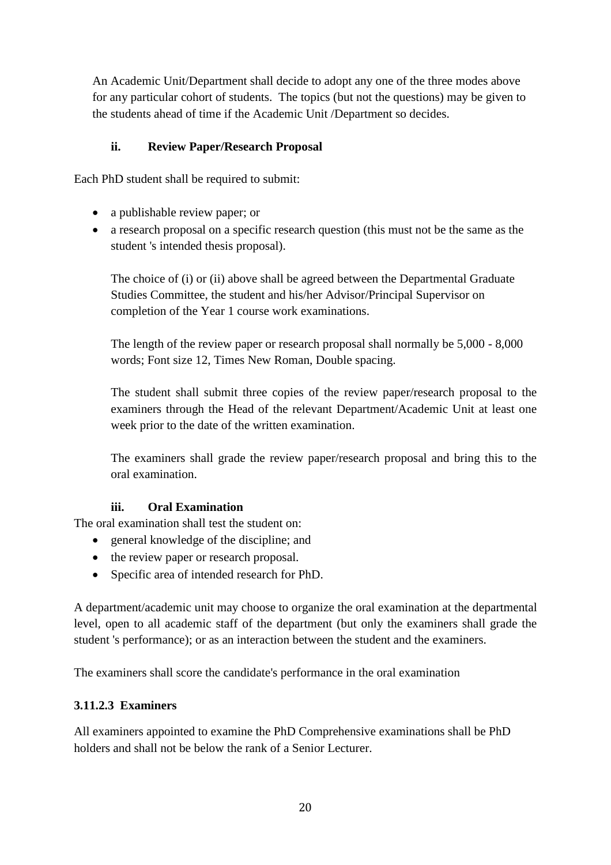An Academic Unit/Department shall decide to adopt any one of the three modes above for any particular cohort of students. The topics (but not the questions) may be given to the students ahead of time if the Academic Unit /Department so decides.

# **ii. Review Paper/Research Proposal**

Each PhD student shall be required to submit:

- a publishable review paper; or
- a research proposal on a specific research question (this must not be the same as the student 's intended thesis proposal).

The choice of (i) or (ii) above shall be agreed between the Departmental Graduate Studies Committee, the student and his/her Advisor/Principal Supervisor on completion of the Year 1 course work examinations.

The length of the review paper or research proposal shall normally be 5,000 - 8,000 words; Font size 12, Times New Roman, Double spacing.

The student shall submit three copies of the review paper/research proposal to the examiners through the Head of the relevant Department/Academic Unit at least one week prior to the date of the written examination.

The examiners shall grade the review paper/research proposal and bring this to the oral examination.

# **iii. Oral Examination**

The oral examination shall test the student on:

- general knowledge of the discipline; and
- the review paper or research proposal.
- Specific area of intended research for PhD.

A department/academic unit may choose to organize the oral examination at the departmental level, open to all academic staff of the department (but only the examiners shall grade the student 's performance); or as an interaction between the student and the examiners.

The examiners shall score the candidate's performance in the oral examination

# **3.11.2.3 Examiners**

All examiners appointed to examine the PhD Comprehensive examinations shall be PhD holders and shall not be below the rank of a Senior Lecturer.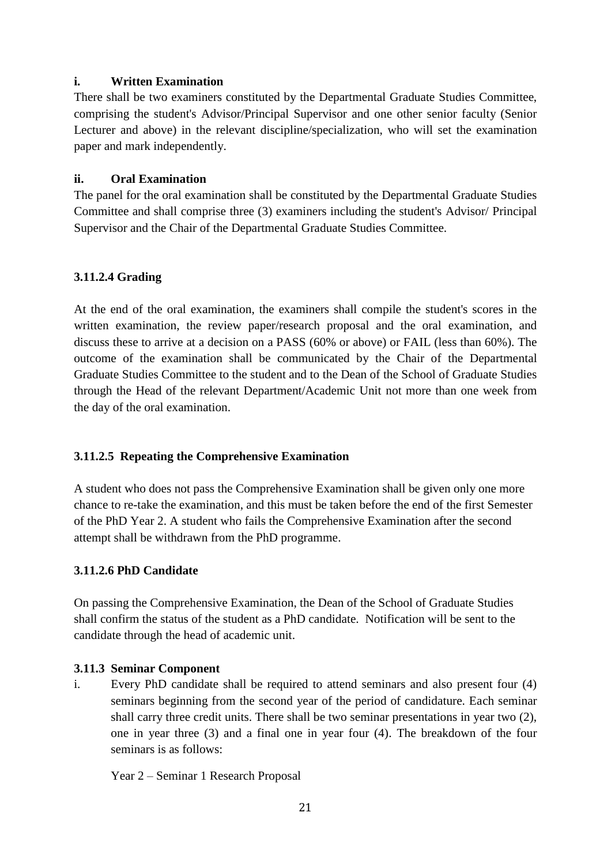## **i. Written Examination**

There shall be two examiners constituted by the Departmental Graduate Studies Committee, comprising the student's Advisor/Principal Supervisor and one other senior faculty (Senior Lecturer and above) in the relevant discipline/specialization, who will set the examination paper and mark independently.

# **ii. Oral Examination**

The panel for the oral examination shall be constituted by the Departmental Graduate Studies Committee and shall comprise three (3) examiners including the student's Advisor/ Principal Supervisor and the Chair of the Departmental Graduate Studies Committee.

# **3.11.2.4 Grading**

At the end of the oral examination, the examiners shall compile the student's scores in the written examination, the review paper/research proposal and the oral examination, and discuss these to arrive at a decision on a PASS (60% or above) or FAIL (less than 60%). The outcome of the examination shall be communicated by the Chair of the Departmental Graduate Studies Committee to the student and to the Dean of the School of Graduate Studies through the Head of the relevant Department/Academic Unit not more than one week from the day of the oral examination.

# **3.11.2.5 Repeating the Comprehensive Examination**

A student who does not pass the Comprehensive Examination shall be given only one more chance to re-take the examination, and this must be taken before the end of the first Semester of the PhD Year 2. A student who fails the Comprehensive Examination after the second attempt shall be withdrawn from the PhD programme.

# **3.11.2.6 PhD Candidate**

On passing the Comprehensive Examination, the Dean of the School of Graduate Studies shall confirm the status of the student as a PhD candidate. Notification will be sent to the candidate through the head of academic unit.

# **3.11.3 Seminar Component**

i. Every PhD candidate shall be required to attend seminars and also present four (4) seminars beginning from the second year of the period of candidature. Each seminar shall carry three credit units. There shall be two seminar presentations in year two (2), one in year three (3) and a final one in year four (4). The breakdown of the four seminars is as follows:

Year 2 – Seminar 1 Research Proposal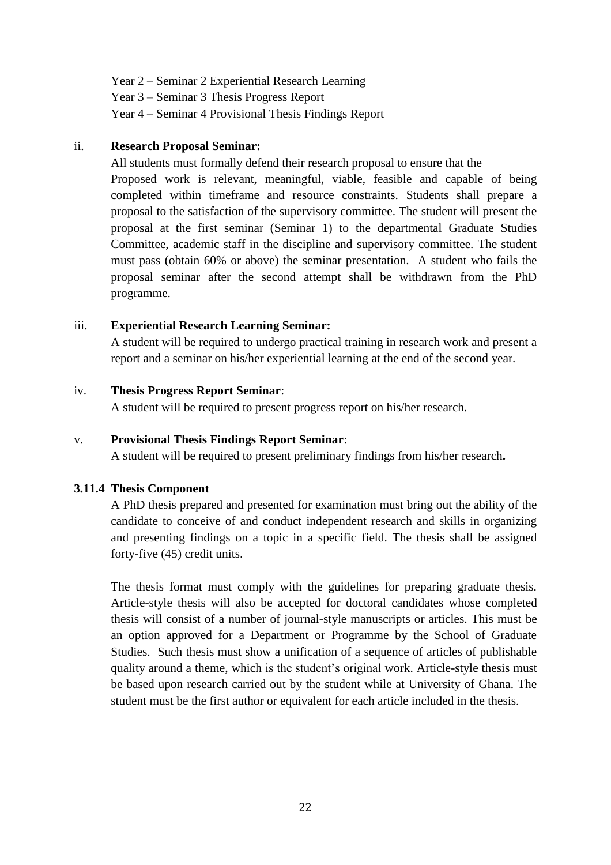Year 2 – Seminar 2 Experiential Research Learning Year 3 – Seminar 3 Thesis Progress Report Year 4 – Seminar 4 Provisional Thesis Findings Report

#### ii. **Research Proposal Seminar:**

All students must formally defend their research proposal to ensure that the

Proposed work is relevant, meaningful, viable, feasible and capable of being completed within timeframe and resource constraints. Students shall prepare a proposal to the satisfaction of the supervisory committee. The student will present the proposal at the first seminar (Seminar 1) to the departmental Graduate Studies Committee, academic staff in the discipline and supervisory committee. The student must pass (obtain 60% or above) the seminar presentation. A student who fails the proposal seminar after the second attempt shall be withdrawn from the PhD programme.

# iii. **Experiential Research Learning Seminar:**

A student will be required to undergo practical training in research work and present a report and a seminar on his/her experiential learning at the end of the second year.

# iv. **Thesis Progress Report Seminar**:

A student will be required to present progress report on his/her research.

# v. **Provisional Thesis Findings Report Seminar**:

A student will be required to present preliminary findings from his/her research**.**

# **3.11.4 Thesis Component**

A PhD thesis prepared and presented for examination must bring out the ability of the candidate to conceive of and conduct independent research and skills in organizing and presenting findings on a topic in a specific field. The thesis shall be assigned forty-five (45) credit units.

The thesis format must comply with the guidelines for preparing graduate thesis. Article-style thesis will also be accepted for doctoral candidates whose completed thesis will consist of a number of journal-style manuscripts or articles. This must be an option approved for a Department or Programme by the School of Graduate Studies. Such thesis must show a unification of a sequence of articles of publishable quality around a theme, which is the student's original work. Article-style thesis must be based upon research carried out by the student while at University of Ghana. The student must be the first author or equivalent for each article included in the thesis.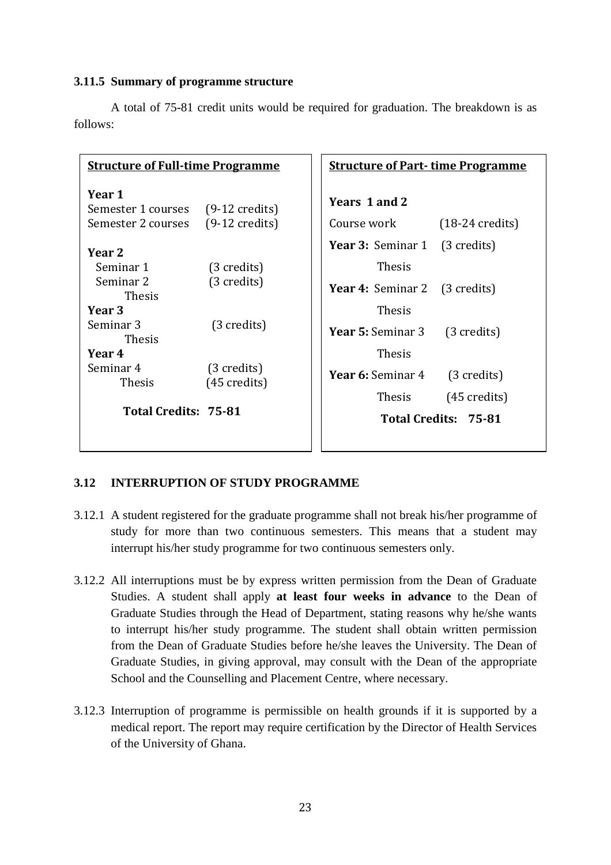#### **3.11.5 Summary of programme structure**

| <b>Structure of Full-time Programme</b>                                          |                                       | <b>Structure of Part-time Programme</b>                   |  |  |
|----------------------------------------------------------------------------------|---------------------------------------|-----------------------------------------------------------|--|--|
| Year 1<br>Semester 1 courses (9-12 credits)<br>Semester 2 courses (9-12 credits) |                                       | Years 1 and 2<br>Course work<br>$(18-24 \text{ credits})$ |  |  |
| Year 2                                                                           |                                       | <b>Year 3:</b> Seminar 1 (3 credits)                      |  |  |
| Seminar 1                                                                        | (3 credits)                           | <b>Thesis</b>                                             |  |  |
| Seminar 2<br><b>Thesis</b>                                                       | $(3 \text{ credits})$                 | <b>Year 4:</b> Seminar 2 (3 credits)                      |  |  |
| Year 3                                                                           |                                       | <b>Thesis</b>                                             |  |  |
| Seminar 3<br><b>Thesis</b>                                                       | $(3 \text{ credits})$                 | <b>Year 5:</b> Seminar 3<br>$(3 \text{ credits})$         |  |  |
| Year 4                                                                           |                                       | <b>Thesis</b>                                             |  |  |
| Seminar 4<br><b>Thesis</b>                                                       | (3 credits)<br>$(45 \text{ credits})$ | <b>Year 6:</b> Seminar 4<br>(3 credits)                   |  |  |
|                                                                                  |                                       | <b>Thesis</b><br>$(45 \text{ credits})$                   |  |  |
| Total Credits: 75-81                                                             |                                       | Total Credits: 75-81                                      |  |  |

A total of 75-81 credit units would be required for graduation. The breakdown is as follows:

#### **3.12 INTERRUPTION OF STUDY PROGRAMME**

- 3.12.1 A student registered for the graduate programme shall not break his/her programme of study for more than two continuous semesters. This means that a student may interrupt his/her study programme for two continuous semesters only.
- 3.12.2 All interruptions must be by express written permission from the Dean of Graduate Studies. A student shall apply **at least four weeks in advance** to the Dean of Graduate Studies through the Head of Department, stating reasons why he/she wants to interrupt his/her study programme. The student shall obtain written permission from the Dean of Graduate Studies before he/she leaves the University. The Dean of Graduate Studies, in giving approval, may consult with the Dean of the appropriate School and the Counselling and Placement Centre, where necessary.
- 3.12.3 Interruption of programme is permissible on health grounds if it is supported by a medical report. The report may require certification by the Director of Health Services of the University of Ghana.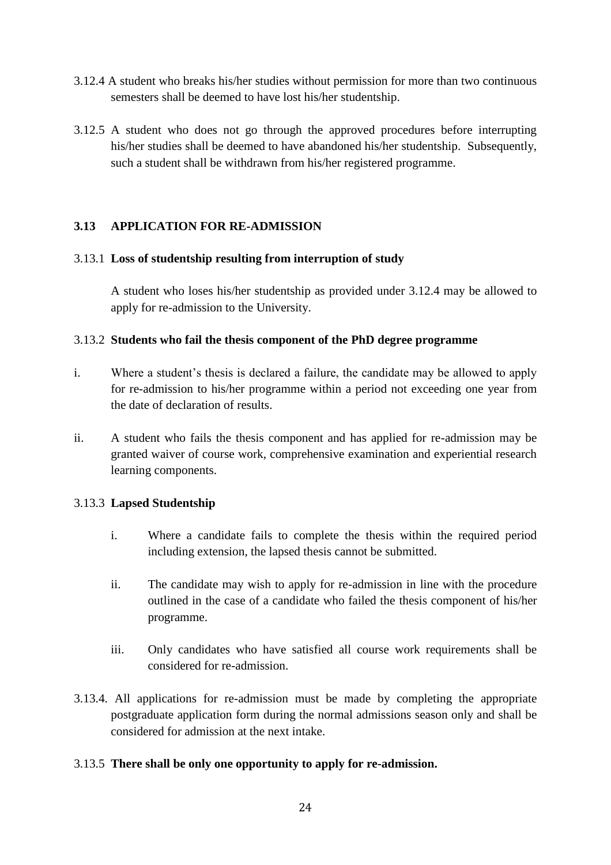- 3.12.4 A student who breaks his/her studies without permission for more than two continuous semesters shall be deemed to have lost his/her studentship.
- 3.12.5 A student who does not go through the approved procedures before interrupting his/her studies shall be deemed to have abandoned his/her studentship. Subsequently, such a student shall be withdrawn from his/her registered programme.

# **3.13 APPLICATION FOR RE-ADMISSION**

#### 3.13.1 **Loss of studentship resulting from interruption of study**

A student who loses his/her studentship as provided under 3.12.4 may be allowed to apply for re-admission to the University.

# 3.13.2 **Students who fail the thesis component of the PhD degree programme**

- i. Where a student's thesis is declared a failure, the candidate may be allowed to apply for re-admission to his/her programme within a period not exceeding one year from the date of declaration of results.
- ii. A student who fails the thesis component and has applied for re-admission may be granted waiver of course work, comprehensive examination and experiential research learning components.

# 3.13.3 **Lapsed Studentship**

- i. Where a candidate fails to complete the thesis within the required period including extension, the lapsed thesis cannot be submitted.
- ii. The candidate may wish to apply for re-admission in line with the procedure outlined in the case of a candidate who failed the thesis component of his/her programme.
- iii. Only candidates who have satisfied all course work requirements shall be considered for re-admission.
- 3.13.4. All applications for re-admission must be made by completing the appropriate postgraduate application form during the normal admissions season only and shall be considered for admission at the next intake.

# 3.13.5 **There shall be only one opportunity to apply for re-admission.**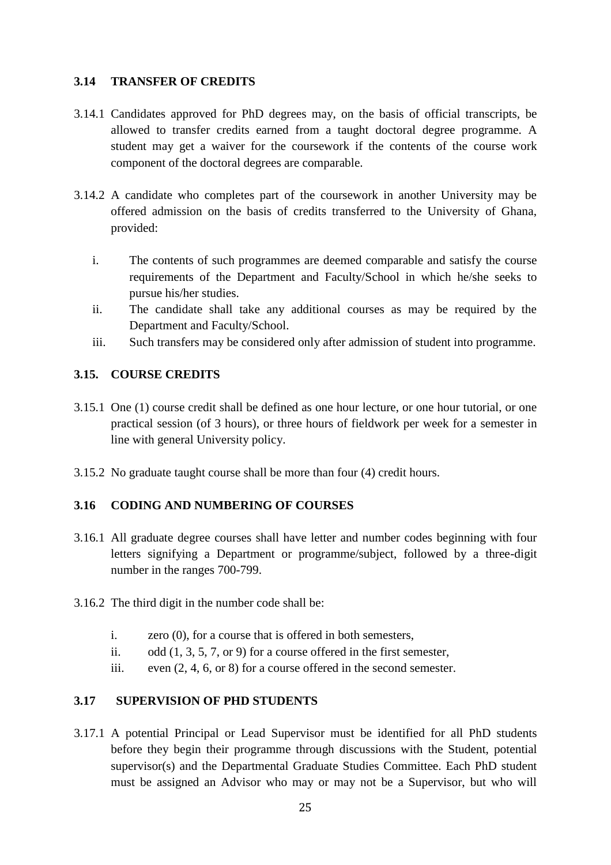# **3.14 TRANSFER OF CREDITS**

- 3.14.1 Candidates approved for PhD degrees may, on the basis of official transcripts, be allowed to transfer credits earned from a taught doctoral degree programme. A student may get a waiver for the coursework if the contents of the course work component of the doctoral degrees are comparable.
- 3.14.2 A candidate who completes part of the coursework in another University may be offered admission on the basis of credits transferred to the University of Ghana, provided:
	- i. The contents of such programmes are deemed comparable and satisfy the course requirements of the Department and Faculty/School in which he/she seeks to pursue his/her studies.
	- ii. The candidate shall take any additional courses as may be required by the Department and Faculty/School.
	- iii. Such transfers may be considered only after admission of student into programme.

#### **3.15. COURSE CREDITS**

- 3.15.1 One (1) course credit shall be defined as one hour lecture, or one hour tutorial, or one practical session (of 3 hours), or three hours of fieldwork per week for a semester in line with general University policy.
- 3.15.2 No graduate taught course shall be more than four (4) credit hours.

# **3.16 CODING AND NUMBERING OF COURSES**

- 3.16.1 All graduate degree courses shall have letter and number codes beginning with four letters signifying a Department or programme/subject, followed by a three-digit number in the ranges 700-799.
- 3.16.2 The third digit in the number code shall be:
	- i. zero (0), for a course that is offered in both semesters,
	- ii. odd (1, 3, 5, 7, or 9) for a course offered in the first semester,
	- iii. even (2, 4, 6, or 8) for a course offered in the second semester.

# **3.17 SUPERVISION OF PHD STUDENTS**

3.17.1 A potential Principal or Lead Supervisor must be identified for all PhD students before they begin their programme through discussions with the Student, potential supervisor(s) and the Departmental Graduate Studies Committee. Each PhD student must be assigned an Advisor who may or may not be a Supervisor, but who will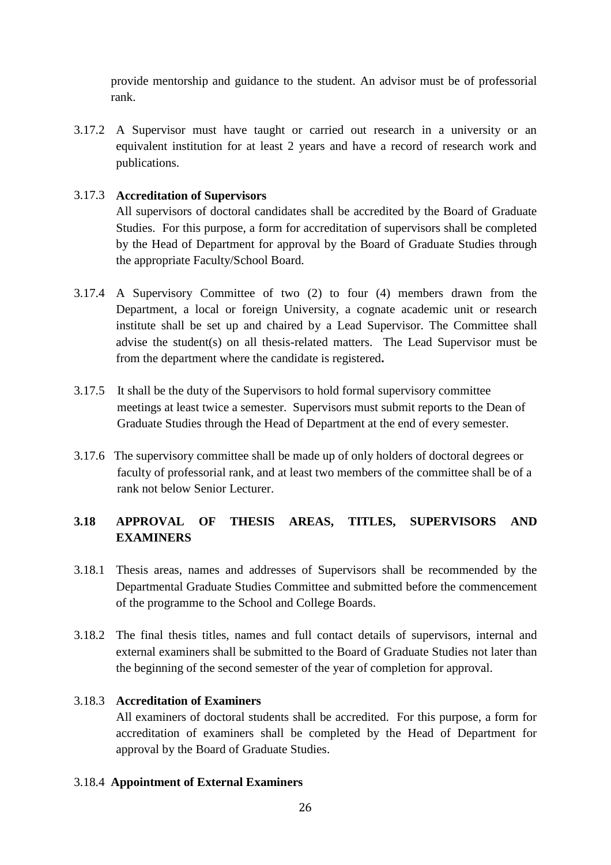provide mentorship and guidance to the student. An advisor must be of professorial rank.

3.17.2 A Supervisor must have taught or carried out research in a university or an equivalent institution for at least 2 years and have a record of research work and publications.

# 3.17.3 **Accreditation of Supervisors**

All supervisors of doctoral candidates shall be accredited by the Board of Graduate Studies. For this purpose, a form for accreditation of supervisors shall be completed by the Head of Department for approval by the Board of Graduate Studies through the appropriate Faculty/School Board.

- 3.17.4 A Supervisory Committee of two (2) to four (4) members drawn from the Department, a local or foreign University, a cognate academic unit or research institute shall be set up and chaired by a Lead Supervisor. The Committee shall advise the student(s) on all thesis-related matters. The Lead Supervisor must be from the department where the candidate is registered**.**
- 3.17.5 It shall be the duty of the Supervisors to hold formal supervisory committee meetings at least twice a semester. Supervisors must submit reports to the Dean of Graduate Studies through the Head of Department at the end of every semester.
- 3.17.6 The supervisory committee shall be made up of only holders of doctoral degrees or faculty of professorial rank, and at least two members of the committee shall be of a rank not below Senior Lecturer.

# **3.18 APPROVAL OF THESIS AREAS, TITLES, SUPERVISORS AND EXAMINERS**

- 3.18.1 Thesis areas, names and addresses of Supervisors shall be recommended by the Departmental Graduate Studies Committee and submitted before the commencement of the programme to the School and College Boards.
- 3.18.2 The final thesis titles, names and full contact details of supervisors, internal and external examiners shall be submitted to the Board of Graduate Studies not later than the beginning of the second semester of the year of completion for approval.

# 3.18.3 **Accreditation of Examiners**

All examiners of doctoral students shall be accredited. For this purpose, a form for accreditation of examiners shall be completed by the Head of Department for approval by the Board of Graduate Studies.

# 3.18.4 **Appointment of External Examiners**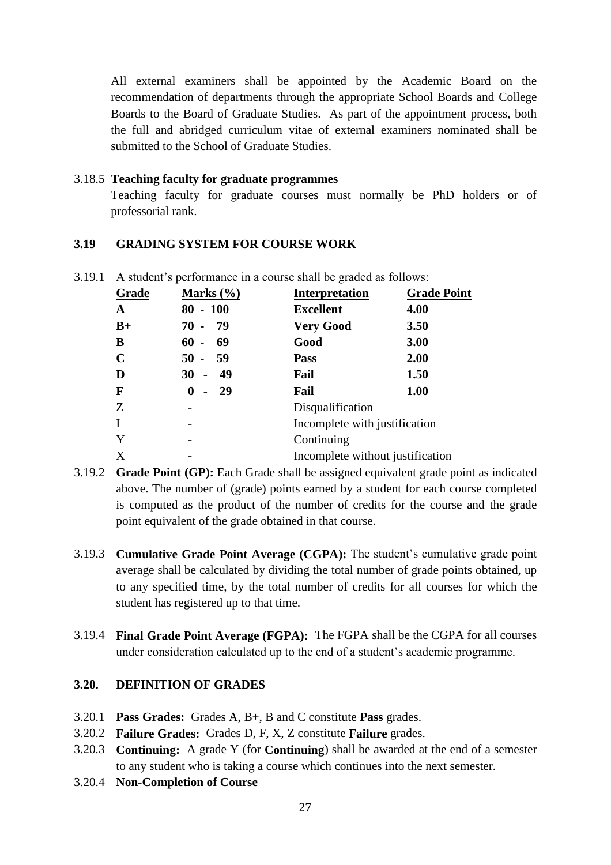All external examiners shall be appointed by the Academic Board on the recommendation of departments through the appropriate School Boards and College Boards to the Board of Graduate Studies. As part of the appointment process, both the full and abridged curriculum vitae of external examiners nominated shall be submitted to the School of Graduate Studies.

#### 3.18.5 **Teaching faculty for graduate programmes**

Teaching faculty for graduate courses must normally be PhD holders or of professorial rank.

# **3.19 GRADING SYSTEM FOR COURSE WORK**

| Grade       | Marks $(\% )$ | <b>Interpretation</b>            | <b>Grade Point</b> |
|-------------|---------------|----------------------------------|--------------------|
| A           | $-100$<br>80  | <b>Excellent</b>                 | 4.00               |
| $B+$        | 79<br>$70 -$  | <b>Very Good</b>                 | 3.50               |
| B           | 69<br>60      | Good                             | 3.00               |
| $\mathbf C$ | $50 -$<br>59  | <b>Pass</b>                      | 2.00               |
| D           | 49<br>$30 -$  | Fail                             | 1.50               |
| F           | 29<br>0       | Fail                             | 1.00               |
| Z           |               | Disqualification                 |                    |
| I           |               | Incomplete with justification    |                    |
| Y           |               | Continuing                       |                    |
| X           |               | Incomplete without justification |                    |

3.19.1 A student's performance in a course shall be graded as follows:

- 3.19.2 **Grade Point (GP):** Each Grade shall be assigned equivalent grade point as indicated above. The number of (grade) points earned by a student for each course completed is computed as the product of the number of credits for the course and the grade point equivalent of the grade obtained in that course.
- 3.19.3 **Cumulative Grade Point Average (CGPA):** The student's cumulative grade point average shall be calculated by dividing the total number of grade points obtained, up to any specified time, by the total number of credits for all courses for which the student has registered up to that time.
- 3.19.4 **Final Grade Point Average (FGPA):** The FGPA shall be the CGPA for all courses under consideration calculated up to the end of a student's academic programme.

# **3.20. DEFINITION OF GRADES**

- 3.20.1 **Pass Grades:** Grades A, B+, B and C constitute **Pass** grades.
- 3.20.2 **Failure Grades:** Grades D, F, X, Z constitute **Failure** grades.
- 3.20.3 **Continuing:** A grade Y (for **Continuing**) shall be awarded at the end of a semester to any student who is taking a course which continues into the next semester.
- 3.20.4 **Non-Completion of Course**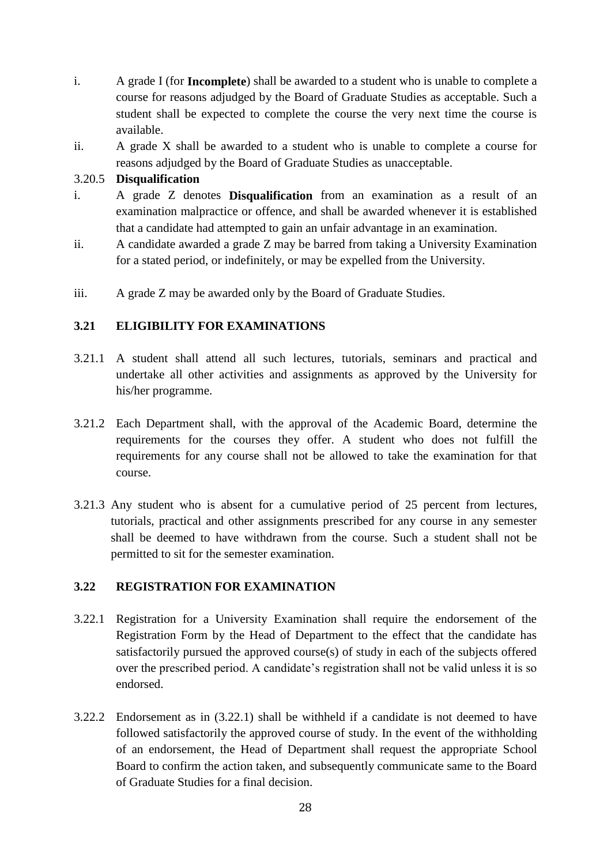- i. A grade I (for **Incomplete**) shall be awarded to a student who is unable to complete a course for reasons adjudged by the Board of Graduate Studies as acceptable. Such a student shall be expected to complete the course the very next time the course is available.
- ii. A grade X shall be awarded to a student who is unable to complete a course for reasons adjudged by the Board of Graduate Studies as unacceptable.

# 3.20.5 **Disqualification**

- i. A grade Z denotes **Disqualification** from an examination as a result of an examination malpractice or offence, and shall be awarded whenever it is established that a candidate had attempted to gain an unfair advantage in an examination.
- ii. A candidate awarded a grade Z may be barred from taking a University Examination for a stated period, or indefinitely, or may be expelled from the University.
- iii. A grade Z may be awarded only by the Board of Graduate Studies.

# **3.21 ELIGIBILITY FOR EXAMINATIONS**

- 3.21.1 A student shall attend all such lectures, tutorials, seminars and practical and undertake all other activities and assignments as approved by the University for his/her programme.
- 3.21.2 Each Department shall, with the approval of the Academic Board, determine the requirements for the courses they offer. A student who does not fulfill the requirements for any course shall not be allowed to take the examination for that course.
- 3.21.3 Any student who is absent for a cumulative period of 25 percent from lectures, tutorials, practical and other assignments prescribed for any course in any semester shall be deemed to have withdrawn from the course. Such a student shall not be permitted to sit for the semester examination.

# **3.22 REGISTRATION FOR EXAMINATION**

- 3.22.1 Registration for a University Examination shall require the endorsement of the Registration Form by the Head of Department to the effect that the candidate has satisfactorily pursued the approved course(s) of study in each of the subjects offered over the prescribed period. A candidate's registration shall not be valid unless it is so endorsed.
- 3.22.2 Endorsement as in (3.22.1) shall be withheld if a candidate is not deemed to have followed satisfactorily the approved course of study. In the event of the withholding of an endorsement, the Head of Department shall request the appropriate School Board to confirm the action taken, and subsequently communicate same to the Board of Graduate Studies for a final decision.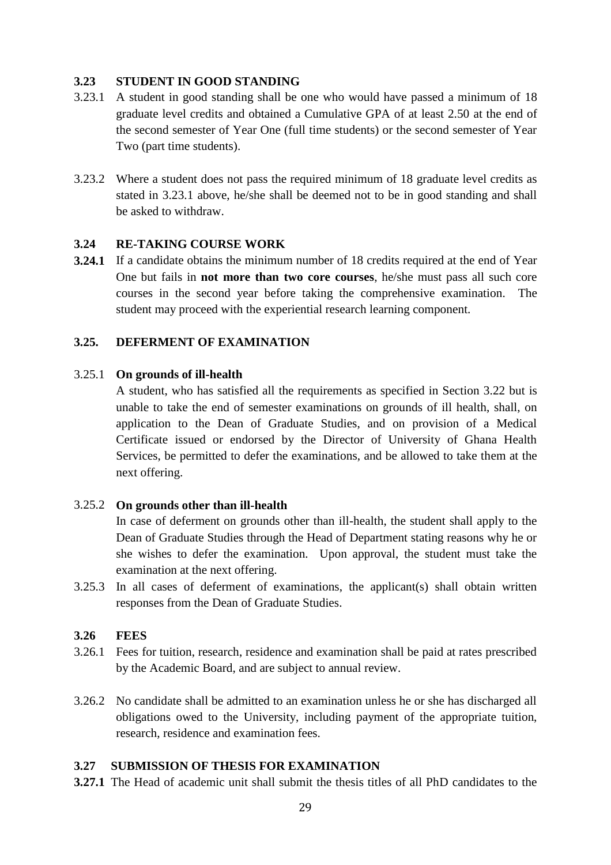# **3.23 STUDENT IN GOOD STANDING**

- 3.23.1 A student in good standing shall be one who would have passed a minimum of 18 graduate level credits and obtained a Cumulative GPA of at least 2.50 at the end of the second semester of Year One (full time students) or the second semester of Year Two (part time students).
- 3.23.2 Where a student does not pass the required minimum of 18 graduate level credits as stated in 3.23.1 above, he/she shall be deemed not to be in good standing and shall be asked to withdraw.

#### **3.24 RE-TAKING COURSE WORK**

**3.24.1** If a candidate obtains the minimum number of 18 credits required at the end of Year One but fails in **not more than two core courses**, he/she must pass all such core courses in the second year before taking the comprehensive examination. The student may proceed with the experiential research learning component.

# **3.25. DEFERMENT OF EXAMINATION**

#### 3.25.1 **On grounds of ill-health**

A student, who has satisfied all the requirements as specified in Section 3.22 but is unable to take the end of semester examinations on grounds of ill health, shall, on application to the Dean of Graduate Studies, and on provision of a Medical Certificate issued or endorsed by the Director of University of Ghana Health Services, be permitted to defer the examinations, and be allowed to take them at the next offering.

#### 3.25.2 **On grounds other than ill-health**

In case of deferment on grounds other than ill-health, the student shall apply to the Dean of Graduate Studies through the Head of Department stating reasons why he or she wishes to defer the examination. Upon approval, the student must take the examination at the next offering.

3.25.3 In all cases of deferment of examinations, the applicant(s) shall obtain written responses from the Dean of Graduate Studies.

#### **3.26 FEES**

- 3.26.1 Fees for tuition, research, residence and examination shall be paid at rates prescribed by the Academic Board, and are subject to annual review.
- 3.26.2 No candidate shall be admitted to an examination unless he or she has discharged all obligations owed to the University, including payment of the appropriate tuition, research, residence and examination fees.

#### **3.27 SUBMISSION OF THESIS FOR EXAMINATION**

**3.27.1** The Head of academic unit shall submit the thesis titles of all PhD candidates to the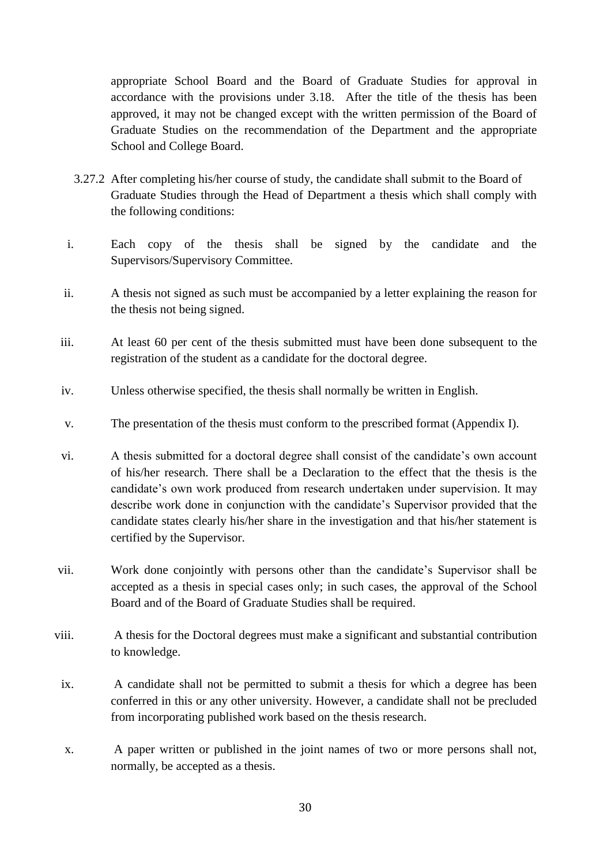appropriate School Board and the Board of Graduate Studies for approval in accordance with the provisions under 3.18. After the title of the thesis has been approved, it may not be changed except with the written permission of the Board of Graduate Studies on the recommendation of the Department and the appropriate School and College Board.

- 3.27.2 After completing his/her course of study, the candidate shall submit to the Board of Graduate Studies through the Head of Department a thesis which shall comply with the following conditions:
- i. Each copy of the thesis shall be signed by the candidate and the Supervisors/Supervisory Committee.
- ii. A thesis not signed as such must be accompanied by a letter explaining the reason for the thesis not being signed.
- iii. At least 60 per cent of the thesis submitted must have been done subsequent to the registration of the student as a candidate for the doctoral degree.
- iv. Unless otherwise specified, the thesis shall normally be written in English.
- v. The presentation of the thesis must conform to the prescribed format (Appendix I).
- vi. A thesis submitted for a doctoral degree shall consist of the candidate's own account of his/her research. There shall be a Declaration to the effect that the thesis is the candidate's own work produced from research undertaken under supervision. It may describe work done in conjunction with the candidate's Supervisor provided that the candidate states clearly his/her share in the investigation and that his/her statement is certified by the Supervisor.
- vii. Work done conjointly with persons other than the candidate's Supervisor shall be accepted as a thesis in special cases only; in such cases, the approval of the School Board and of the Board of Graduate Studies shall be required.
- viii. A thesis for the Doctoral degrees must make a significant and substantial contribution to knowledge.
- ix. A candidate shall not be permitted to submit a thesis for which a degree has been conferred in this or any other university. However, a candidate shall not be precluded from incorporating published work based on the thesis research.
- x. A paper written or published in the joint names of two or more persons shall not, normally, be accepted as a thesis.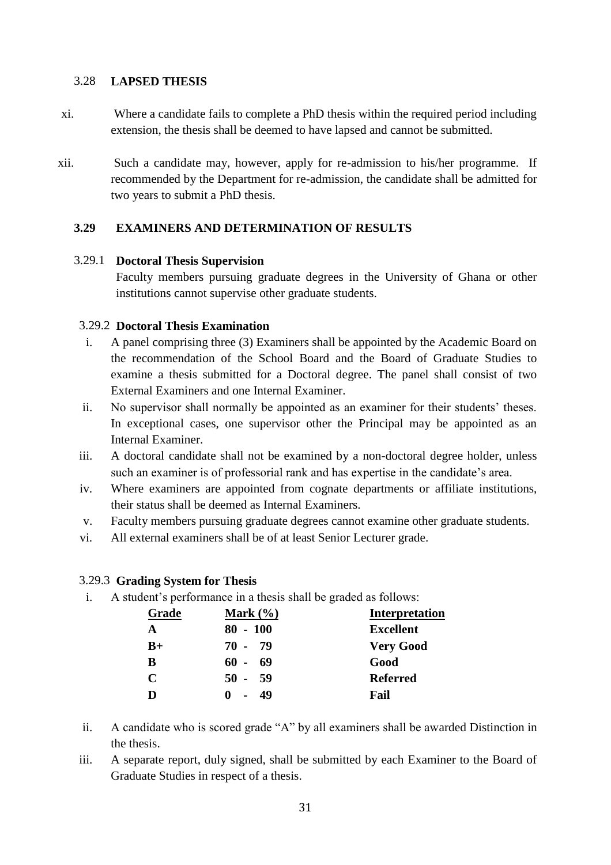# 3.28 **LAPSED THESIS**

- xi. Where a candidate fails to complete a PhD thesis within the required period including extension, the thesis shall be deemed to have lapsed and cannot be submitted.
- xii. Such a candidate may, however, apply for re-admission to his/her programme. If recommended by the Department for re-admission, the candidate shall be admitted for two years to submit a PhD thesis.

# **3.29 EXAMINERS AND DETERMINATION OF RESULTS**

#### 3.29.1 **Doctoral Thesis Supervision**

Faculty members pursuing graduate degrees in the University of Ghana or other institutions cannot supervise other graduate students.

#### 3.29.2 **Doctoral Thesis Examination**

- i. A panel comprising three (3) Examiners shall be appointed by the Academic Board on the recommendation of the School Board and the Board of Graduate Studies to examine a thesis submitted for a Doctoral degree. The panel shall consist of two External Examiners and one Internal Examiner.
- ii. No supervisor shall normally be appointed as an examiner for their students' theses. In exceptional cases, one supervisor other the Principal may be appointed as an Internal Examiner.
- iii. A doctoral candidate shall not be examined by a non-doctoral degree holder, unless such an examiner is of professorial rank and has expertise in the candidate's area.
- iv. Where examiners are appointed from cognate departments or affiliate institutions, their status shall be deemed as Internal Examiners.
- v. Faculty members pursuing graduate degrees cannot examine other graduate students.
- vi. All external examiners shall be of at least Senior Lecturer grade.

# 3.29.3 **Grading System for Thesis**

i. A student's performance in a thesis shall be graded as follows:

| Grade | Mark $(\frac{6}{6})$ | <b>Interpretation</b> |
|-------|----------------------|-----------------------|
| A     | $80 - 100$           | <b>Excellent</b>      |
| $B+$  | 70 - 79              | <b>Very Good</b>      |
| B     | 60 - 69              | Good                  |
| C     | $50 - 59$            | <b>Referred</b>       |
|       | -49                  | Fail                  |

- ii. A candidate who is scored grade "A" by all examiners shall be awarded Distinction in the thesis.
- iii. A separate report, duly signed, shall be submitted by each Examiner to the Board of Graduate Studies in respect of a thesis.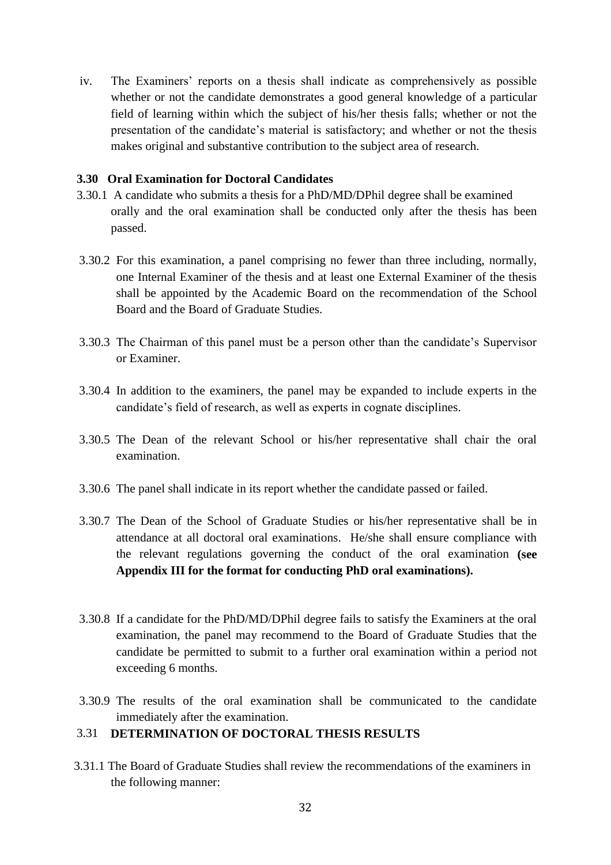iv. The Examiners' reports on a thesis shall indicate as comprehensively as possible whether or not the candidate demonstrates a good general knowledge of a particular field of learning within which the subject of his/her thesis falls; whether or not the presentation of the candidate's material is satisfactory; and whether or not the thesis makes original and substantive contribution to the subject area of research.

#### **3.30 Oral Examination for Doctoral Candidates**

- 3.30.1 A candidate who submits a thesis for a PhD/MD/DPhil degree shall be examined orally and the oral examination shall be conducted only after the thesis has been passed.
- 3.30.2 For this examination, a panel comprising no fewer than three including, normally, one Internal Examiner of the thesis and at least one External Examiner of the thesis shall be appointed by the Academic Board on the recommendation of the School Board and the Board of Graduate Studies.
- 3.30.3 The Chairman of this panel must be a person other than the candidate's Supervisor or Examiner.
- 3.30.4 In addition to the examiners, the panel may be expanded to include experts in the candidate's field of research, as well as experts in cognate disciplines.
- 3.30.5 The Dean of the relevant School or his/her representative shall chair the oral examination.
- 3.30.6 The panel shall indicate in its report whether the candidate passed or failed.
- 3.30.7 The Dean of the School of Graduate Studies or his/her representative shall be in attendance at all doctoral oral examinations. He/she shall ensure compliance with the relevant regulations governing the conduct of the oral examination **(see Appendix III for the format for conducting PhD oral examinations).**
- 3.30.8 If a candidate for the PhD/MD/DPhil degree fails to satisfy the Examiners at the oral examination, the panel may recommend to the Board of Graduate Studies that the candidate be permitted to submit to a further oral examination within a period not exceeding 6 months.
- 3.30.9 The results of the oral examination shall be communicated to the candidate immediately after the examination.

# 3.31 **DETERMINATION OF DOCTORAL THESIS RESULTS**

3.31.1 The Board of Graduate Studies shall review the recommendations of the examiners in the following manner: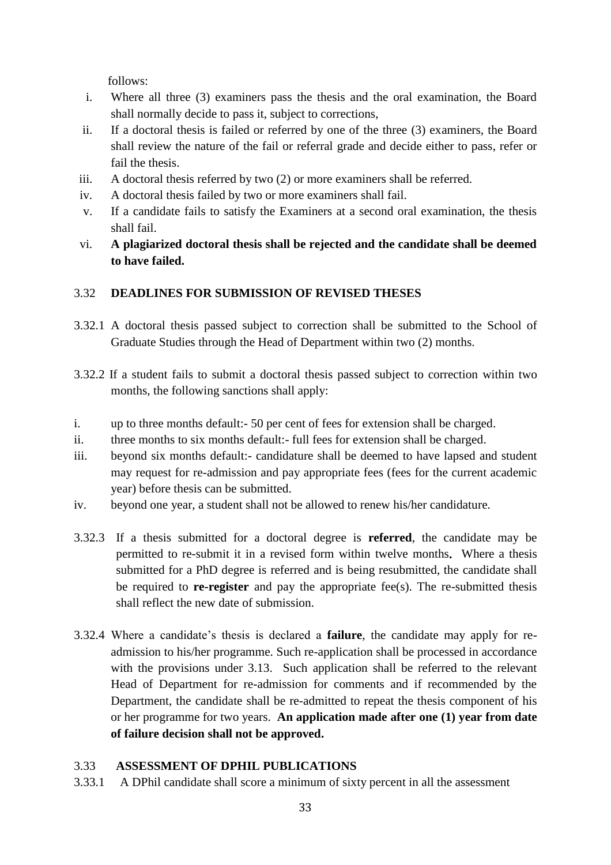follows:

- i. Where all three (3) examiners pass the thesis and the oral examination, the Board shall normally decide to pass it, subject to corrections,
- ii. If a doctoral thesis is failed or referred by one of the three (3) examiners, the Board shall review the nature of the fail or referral grade and decide either to pass, refer or fail the thesis.
- iii. A doctoral thesis referred by two (2) or more examiners shall be referred.
- iv. A doctoral thesis failed by two or more examiners shall fail.
- v. If a candidate fails to satisfy the Examiners at a second oral examination, the thesis shall fail.
- vi. **A plagiarized doctoral thesis shall be rejected and the candidate shall be deemed to have failed.**

# 3.32 **DEADLINES FOR SUBMISSION OF REVISED THESES**

- 3.32.1 A doctoral thesis passed subject to correction shall be submitted to the School of Graduate Studies through the Head of Department within two (2) months.
- 3.32.2 If a student fails to submit a doctoral thesis passed subject to correction within two months, the following sanctions shall apply:
- i. up to three months default:- 50 per cent of fees for extension shall be charged.
- ii. three months to six months default:- full fees for extension shall be charged.
- iii. beyond six months default:- candidature shall be deemed to have lapsed and student may request for re-admission and pay appropriate fees (fees for the current academic year) before thesis can be submitted.
- iv. beyond one year, a student shall not be allowed to renew his/her candidature.
- 3.32.3 If a thesis submitted for a doctoral degree is **referred**, the candidate may be permitted to re-submit it in a revised form within twelve months**.** Where a thesis submitted for a PhD degree is referred and is being resubmitted, the candidate shall be required to **re-register** and pay the appropriate fee(s). The re-submitted thesis shall reflect the new date of submission.
- 3.32.4 Where a candidate's thesis is declared a **failure**, the candidate may apply for readmission to his/her programme. Such re-application shall be processed in accordance with the provisions under 3.13. Such application shall be referred to the relevant Head of Department for re-admission for comments and if recommended by the Department, the candidate shall be re-admitted to repeat the thesis component of his or her programme for two years. **An application made after one (1) year from date of failure decision shall not be approved.**

# 3.33 **ASSESSMENT OF DPHIL PUBLICATIONS**

3.33.1 A DPhil candidate shall score a minimum of sixty percent in all the assessment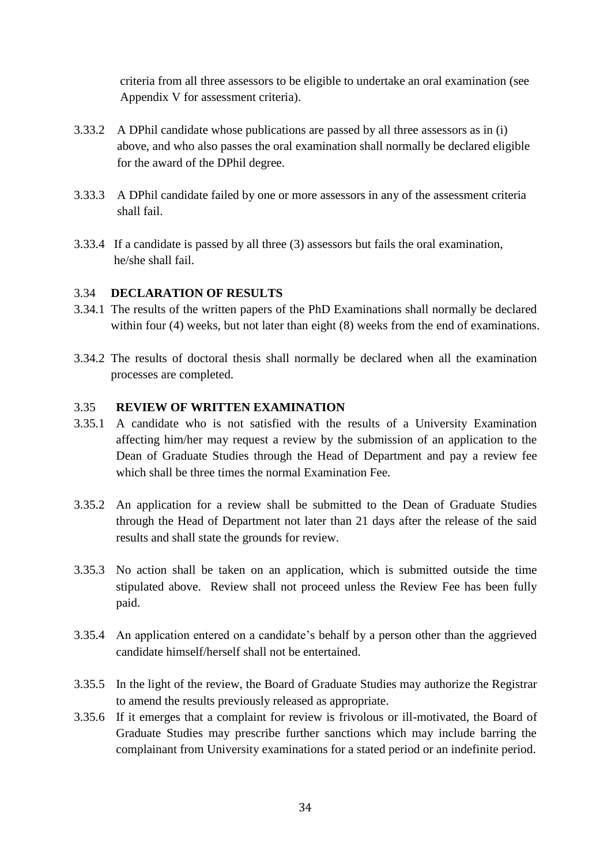criteria from all three assessors to be eligible to undertake an oral examination (see Appendix V for assessment criteria).

- 3.33.2 A DPhil candidate whose publications are passed by all three assessors as in (i) above, and who also passes the oral examination shall normally be declared eligible for the award of the DPhil degree.
- 3.33.3 A DPhil candidate failed by one or more assessors in any of the assessment criteria shall fail.
- 3.33.4 If a candidate is passed by all three (3) assessors but fails the oral examination, he/she shall fail.

#### 3.34 **DECLARATION OF RESULTS**

- 3.34.1 The results of the written papers of the PhD Examinations shall normally be declared within four (4) weeks, but not later than eight (8) weeks from the end of examinations.
- 3.34.2 The results of doctoral thesis shall normally be declared when all the examination processes are completed.

#### 3.35 **REVIEW OF WRITTEN EXAMINATION**

- 3.35.1 A candidate who is not satisfied with the results of a University Examination affecting him/her may request a review by the submission of an application to the Dean of Graduate Studies through the Head of Department and pay a review fee which shall be three times the normal Examination Fee.
- 3.35.2 An application for a review shall be submitted to the Dean of Graduate Studies through the Head of Department not later than 21 days after the release of the said results and shall state the grounds for review.
- 3.35.3 No action shall be taken on an application, which is submitted outside the time stipulated above. Review shall not proceed unless the Review Fee has been fully paid.
- 3.35.4 An application entered on a candidate's behalf by a person other than the aggrieved candidate himself/herself shall not be entertained.
- 3.35.5 In the light of the review, the Board of Graduate Studies may authorize the Registrar to amend the results previously released as appropriate.
- 3.35.6 If it emerges that a complaint for review is frivolous or ill-motivated, the Board of Graduate Studies may prescribe further sanctions which may include barring the complainant from University examinations for a stated period or an indefinite period.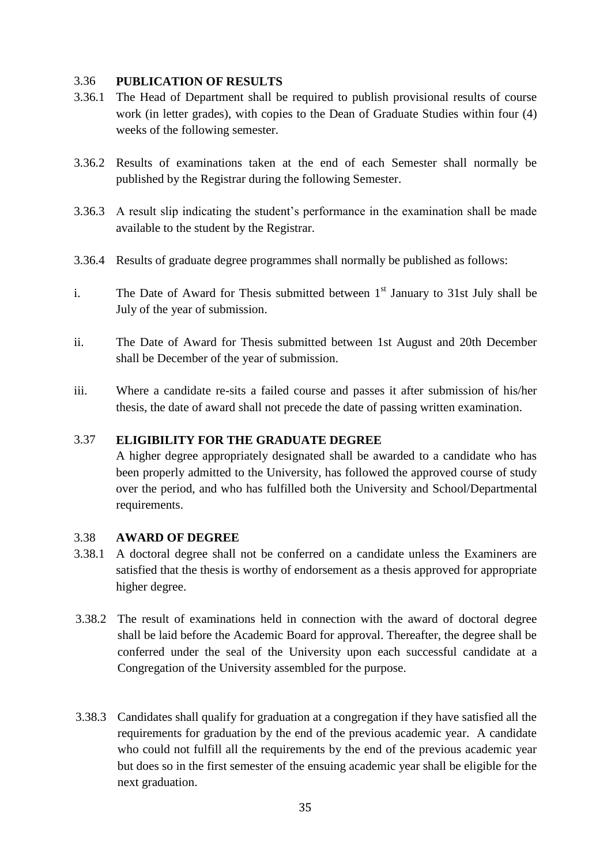#### 3.36 **PUBLICATION OF RESULTS**

- 3.36.1 The Head of Department shall be required to publish provisional results of course work (in letter grades), with copies to the Dean of Graduate Studies within four (4) weeks of the following semester.
- 3.36.2 Results of examinations taken at the end of each Semester shall normally be published by the Registrar during the following Semester.
- 3.36.3 A result slip indicating the student's performance in the examination shall be made available to the student by the Registrar.
- 3.36.4 Results of graduate degree programmes shall normally be published as follows:
- i. The Date of Award for Thesis submitted between  $1<sup>st</sup>$  January to 31st July shall be July of the year of submission.
- ii. The Date of Award for Thesis submitted between 1st August and 20th December shall be December of the year of submission.
- iii. Where a candidate re-sits a failed course and passes it after submission of his/her thesis, the date of award shall not precede the date of passing written examination.

# 3.37 **ELIGIBILITY FOR THE GRADUATE DEGREE**

A higher degree appropriately designated shall be awarded to a candidate who has been properly admitted to the University, has followed the approved course of study over the period, and who has fulfilled both the University and School/Departmental requirements.

## 3.38 **AWARD OF DEGREE**

- 3.38.1 A doctoral degree shall not be conferred on a candidate unless the Examiners are satisfied that the thesis is worthy of endorsement as a thesis approved for appropriate higher degree.
- 3.38.2 The result of examinations held in connection with the award of doctoral degree shall be laid before the Academic Board for approval. Thereafter, the degree shall be conferred under the seal of the University upon each successful candidate at a Congregation of the University assembled for the purpose.
- 3.38.3 Candidates shall qualify for graduation at a congregation if they have satisfied all the requirements for graduation by the end of the previous academic year. A candidate who could not fulfill all the requirements by the end of the previous academic year but does so in the first semester of the ensuing academic year shall be eligible for the next graduation.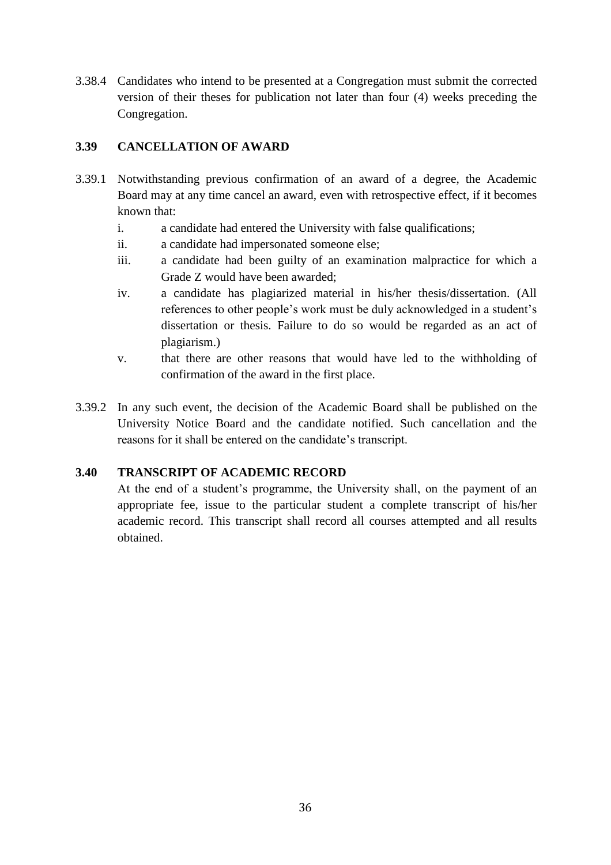3.38.4 Candidates who intend to be presented at a Congregation must submit the corrected version of their theses for publication not later than four (4) weeks preceding the Congregation.

# **3.39 CANCELLATION OF AWARD**

- 3.39.1 Notwithstanding previous confirmation of an award of a degree, the Academic Board may at any time cancel an award, even with retrospective effect, if it becomes known that:
	- i. a candidate had entered the University with false qualifications;
	- ii. a candidate had impersonated someone else;
	- iii. a candidate had been guilty of an examination malpractice for which a Grade Z would have been awarded;
	- iv. a candidate has plagiarized material in his/her thesis/dissertation. (All references to other people's work must be duly acknowledged in a student's dissertation or thesis. Failure to do so would be regarded as an act of plagiarism.)
	- v. that there are other reasons that would have led to the withholding of confirmation of the award in the first place.
- 3.39.2 In any such event, the decision of the Academic Board shall be published on the University Notice Board and the candidate notified. Such cancellation and the reasons for it shall be entered on the candidate's transcript.

# **3.40 TRANSCRIPT OF ACADEMIC RECORD**

At the end of a student's programme, the University shall, on the payment of an appropriate fee, issue to the particular student a complete transcript of his/her academic record. This transcript shall record all courses attempted and all results obtained.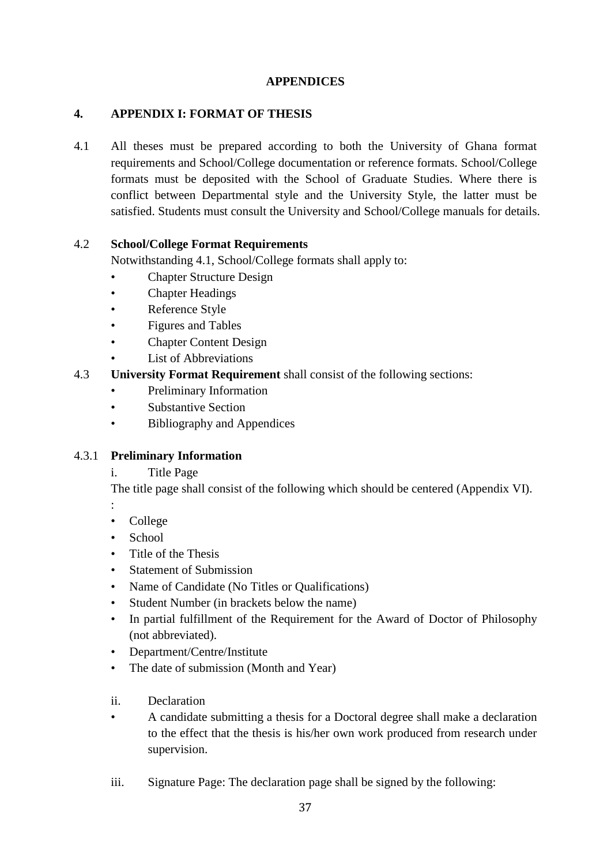# **APPENDICES**

# **4. APPENDIX I: FORMAT OF THESIS**

4.1 All theses must be prepared according to both the University of Ghana format requirements and School/College documentation or reference formats. School/College formats must be deposited with the School of Graduate Studies. Where there is conflict between Departmental style and the University Style, the latter must be satisfied. Students must consult the University and School/College manuals for details.

# 4.2 **School/College Format Requirements**

Notwithstanding 4.1, School/College formats shall apply to:

- Chapter Structure Design
- Chapter Headings
- Reference Style
- Figures and Tables
- **Chapter Content Design**
- **List of Abbreviations**

# 4.3 **University Format Requirement** shall consist of the following sections:

- Preliminary Information
- Substantive Section
- Bibliography and Appendices

# 4.3.1 **Preliminary Information**

i. Title Page

The title page shall consist of the following which should be centered (Appendix VI).

- :
- College
- School
- Title of the Thesis
- **Statement of Submission**
- Name of Candidate (No Titles or Qualifications)
- Student Number (in brackets below the name)
- In partial fulfillment of the Requirement for the Award of Doctor of Philosophy (not abbreviated).
- Department/Centre/Institute
- The date of submission (Month and Year)
- ii. Declaration
- A candidate submitting a thesis for a Doctoral degree shall make a declaration to the effect that the thesis is his/her own work produced from research under supervision.
- iii. Signature Page: The declaration page shall be signed by the following: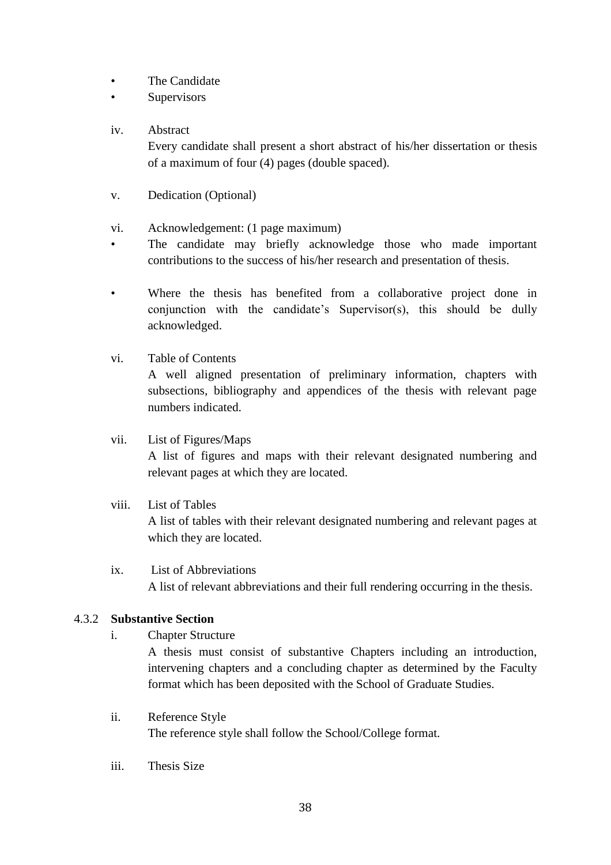- The Candidate
- Supervisors
- iv. Abstract

Every candidate shall present a short abstract of his/her dissertation or thesis of a maximum of four (4) pages (double spaced).

- v. Dedication (Optional)
- vi. Acknowledgement: (1 page maximum)
- The candidate may briefly acknowledge those who made important contributions to the success of his/her research and presentation of thesis.
- Where the thesis has benefited from a collaborative project done in conjunction with the candidate's Supervisor(s), this should be dully acknowledged.
- vi. Table of Contents A well aligned presentation of preliminary information, chapters with subsections, bibliography and appendices of the thesis with relevant page numbers indicated.

# vii. List of Figures/Maps

A list of figures and maps with their relevant designated numbering and relevant pages at which they are located.

viii. List of Tables

A list of tables with their relevant designated numbering and relevant pages at which they are located.

ix. List of Abbreviations A list of relevant abbreviations and their full rendering occurring in the thesis.

# 4.3.2 **Substantive Section**

i. Chapter Structure

A thesis must consist of substantive Chapters including an introduction, intervening chapters and a concluding chapter as determined by the Faculty format which has been deposited with the School of Graduate Studies.

- ii. Reference Style The reference style shall follow the School/College format.
- iii. Thesis Size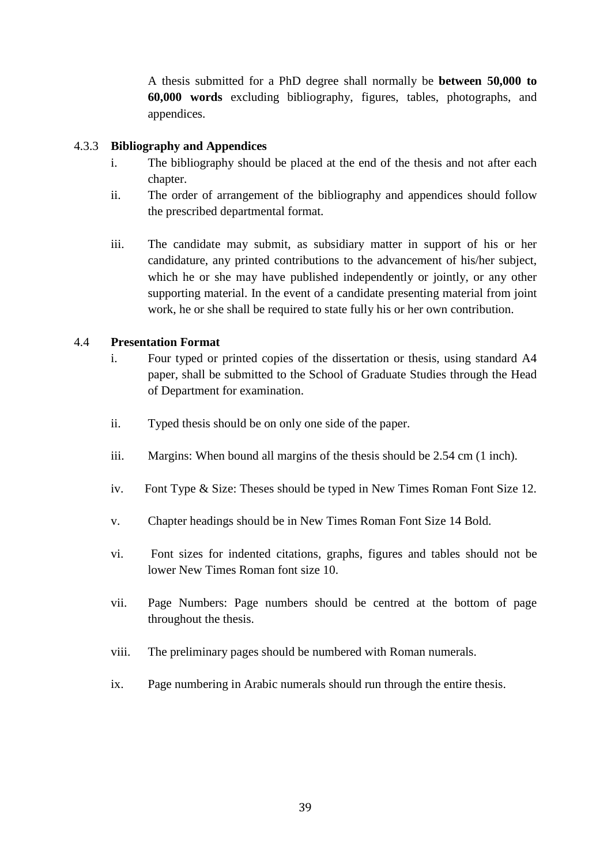A thesis submitted for a PhD degree shall normally be **between 50,000 to 60,000 words** excluding bibliography, figures, tables, photographs, and appendices.

#### 4.3.3 **Bibliography and Appendices**

- i. The bibliography should be placed at the end of the thesis and not after each chapter.
- ii. The order of arrangement of the bibliography and appendices should follow the prescribed departmental format.
- iii. The candidate may submit, as subsidiary matter in support of his or her candidature, any printed contributions to the advancement of his/her subject, which he or she may have published independently or jointly, or any other supporting material. In the event of a candidate presenting material from joint work, he or she shall be required to state fully his or her own contribution.

# 4.4 **Presentation Format**

- i. Four typed or printed copies of the dissertation or thesis, using standard A4 paper, shall be submitted to the School of Graduate Studies through the Head of Department for examination.
- ii. Typed thesis should be on only one side of the paper.
- iii. Margins: When bound all margins of the thesis should be 2.54 cm (1 inch).
- iv. Font Type & Size: Theses should be typed in New Times Roman Font Size 12.
- v. Chapter headings should be in New Times Roman Font Size 14 Bold.
- vi. Font sizes for indented citations, graphs, figures and tables should not be lower New Times Roman font size 10.
- vii. Page Numbers: Page numbers should be centred at the bottom of page throughout the thesis.
- viii. The preliminary pages should be numbered with Roman numerals.
- ix. Page numbering in Arabic numerals should run through the entire thesis.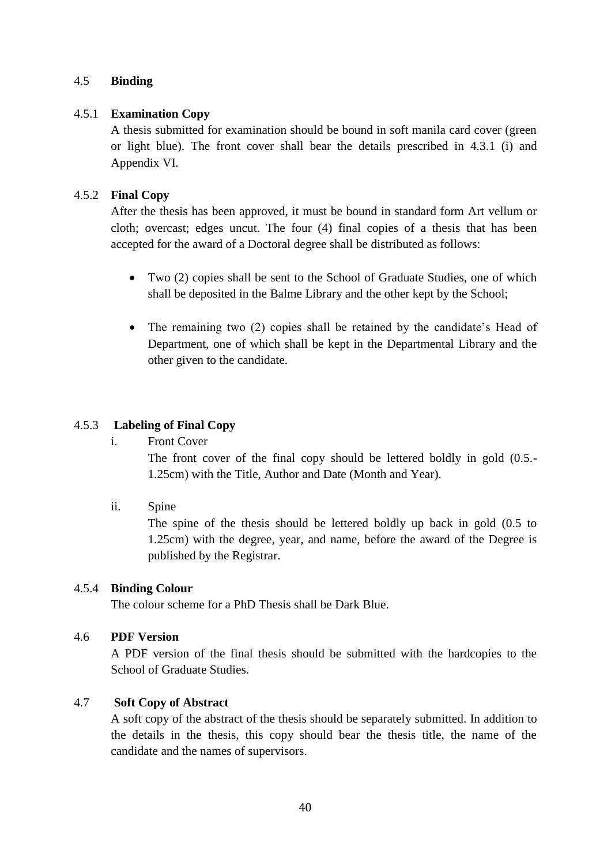## 4.5 **Binding**

#### 4.5.1 **Examination Copy**

A thesis submitted for examination should be bound in soft manila card cover (green or light blue). The front cover shall bear the details prescribed in 4.3.1 (i) and Appendix VI.

#### 4.5.2 **Final Copy**

After the thesis has been approved, it must be bound in standard form Art vellum or cloth; overcast; edges uncut. The four (4) final copies of a thesis that has been accepted for the award of a Doctoral degree shall be distributed as follows:

- Two (2) copies shall be sent to the School of Graduate Studies, one of which shall be deposited in the Balme Library and the other kept by the School;
- The remaining two (2) copies shall be retained by the candidate's Head of Department, one of which shall be kept in the Departmental Library and the other given to the candidate.

#### 4.5.3 **Labeling of Final Copy**

i. Front Cover

The front cover of the final copy should be lettered boldly in gold (0.5.- 1.25cm) with the Title, Author and Date (Month and Year).

ii. Spine

The spine of the thesis should be lettered boldly up back in gold (0.5 to 1.25cm) with the degree, year, and name, before the award of the Degree is published by the Registrar.

#### 4.5.4 **Binding Colour**

The colour scheme for a PhD Thesis shall be Dark Blue.

#### 4.6 **PDF Version**

A PDF version of the final thesis should be submitted with the hardcopies to the School of Graduate Studies.

# 4.7 **Soft Copy of Abstract**

A soft copy of the abstract of the thesis should be separately submitted. In addition to the details in the thesis, this copy should bear the thesis title, the name of the candidate and the names of supervisors.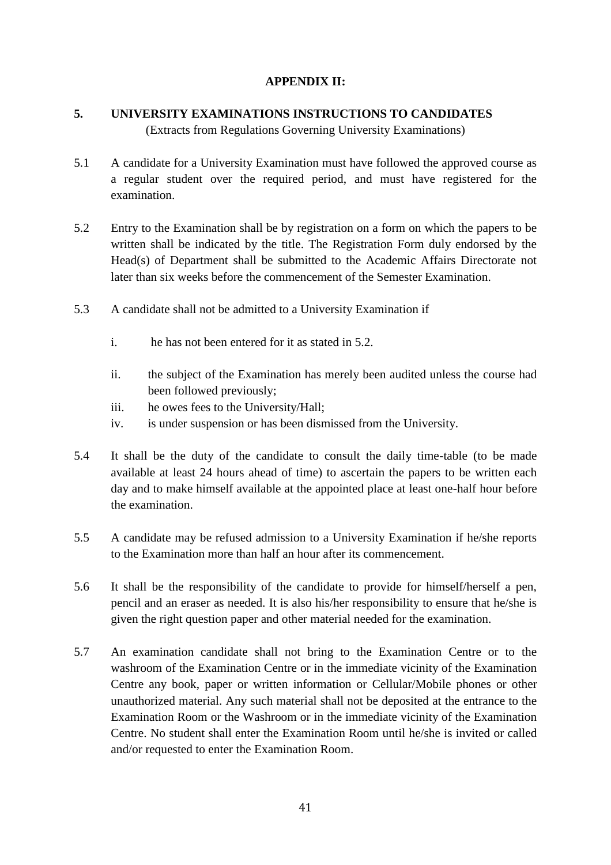# **APPENDIX II:**

# **5. UNIVERSITY EXAMINATIONS INSTRUCTIONS TO CANDIDATES**

(Extracts from Regulations Governing University Examinations)

- 5.1 A candidate for a University Examination must have followed the approved course as a regular student over the required period, and must have registered for the examination.
- 5.2 Entry to the Examination shall be by registration on a form on which the papers to be written shall be indicated by the title. The Registration Form duly endorsed by the Head(s) of Department shall be submitted to the Academic Affairs Directorate not later than six weeks before the commencement of the Semester Examination.
- 5.3 A candidate shall not be admitted to a University Examination if
	- i. he has not been entered for it as stated in 5.2.
	- ii. the subject of the Examination has merely been audited unless the course had been followed previously;
	- iii. he owes fees to the University/Hall;
	- iv. is under suspension or has been dismissed from the University.
- 5.4 It shall be the duty of the candidate to consult the daily time-table (to be made available at least 24 hours ahead of time) to ascertain the papers to be written each day and to make himself available at the appointed place at least one-half hour before the examination.
- 5.5 A candidate may be refused admission to a University Examination if he/she reports to the Examination more than half an hour after its commencement.
- 5.6 It shall be the responsibility of the candidate to provide for himself/herself a pen, pencil and an eraser as needed. It is also his/her responsibility to ensure that he/she is given the right question paper and other material needed for the examination.
- 5.7 An examination candidate shall not bring to the Examination Centre or to the washroom of the Examination Centre or in the immediate vicinity of the Examination Centre any book, paper or written information or Cellular/Mobile phones or other unauthorized material. Any such material shall not be deposited at the entrance to the Examination Room or the Washroom or in the immediate vicinity of the Examination Centre. No student shall enter the Examination Room until he/she is invited or called and/or requested to enter the Examination Room.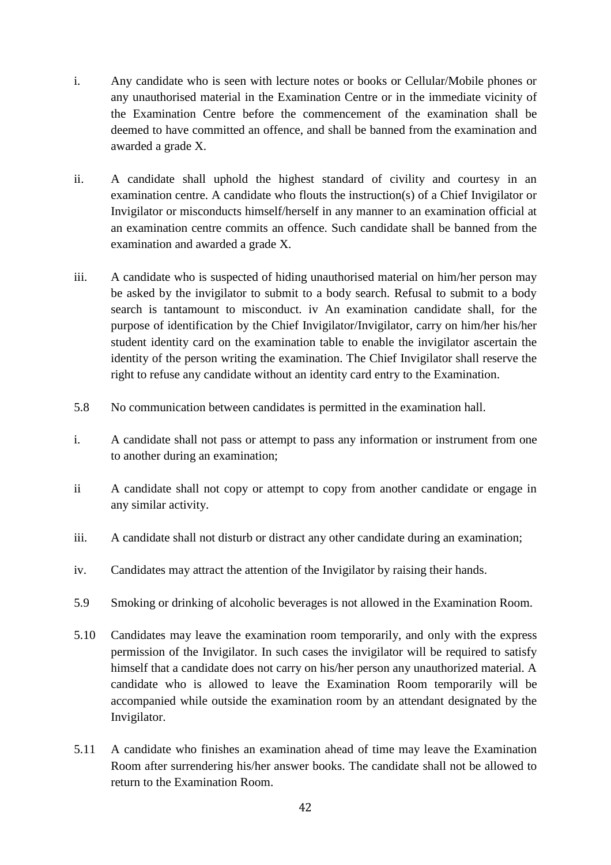- i. Any candidate who is seen with lecture notes or books or Cellular/Mobile phones or any unauthorised material in the Examination Centre or in the immediate vicinity of the Examination Centre before the commencement of the examination shall be deemed to have committed an offence, and shall be banned from the examination and awarded a grade X.
- ii. A candidate shall uphold the highest standard of civility and courtesy in an examination centre. A candidate who flouts the instruction(s) of a Chief Invigilator or Invigilator or misconducts himself/herself in any manner to an examination official at an examination centre commits an offence. Such candidate shall be banned from the examination and awarded a grade X.
- iii. A candidate who is suspected of hiding unauthorised material on him/her person may be asked by the invigilator to submit to a body search. Refusal to submit to a body search is tantamount to misconduct. iv An examination candidate shall, for the purpose of identification by the Chief Invigilator/Invigilator, carry on him/her his/her student identity card on the examination table to enable the invigilator ascertain the identity of the person writing the examination. The Chief Invigilator shall reserve the right to refuse any candidate without an identity card entry to the Examination.
- 5.8 No communication between candidates is permitted in the examination hall.
- i. A candidate shall not pass or attempt to pass any information or instrument from one to another during an examination;
- ii A candidate shall not copy or attempt to copy from another candidate or engage in any similar activity.
- iii. A candidate shall not disturb or distract any other candidate during an examination;
- iv. Candidates may attract the attention of the Invigilator by raising their hands.
- 5.9 Smoking or drinking of alcoholic beverages is not allowed in the Examination Room.
- 5.10 Candidates may leave the examination room temporarily, and only with the express permission of the Invigilator. In such cases the invigilator will be required to satisfy himself that a candidate does not carry on his/her person any unauthorized material. A candidate who is allowed to leave the Examination Room temporarily will be accompanied while outside the examination room by an attendant designated by the Invigilator.
- 5.11 A candidate who finishes an examination ahead of time may leave the Examination Room after surrendering his/her answer books. The candidate shall not be allowed to return to the Examination Room.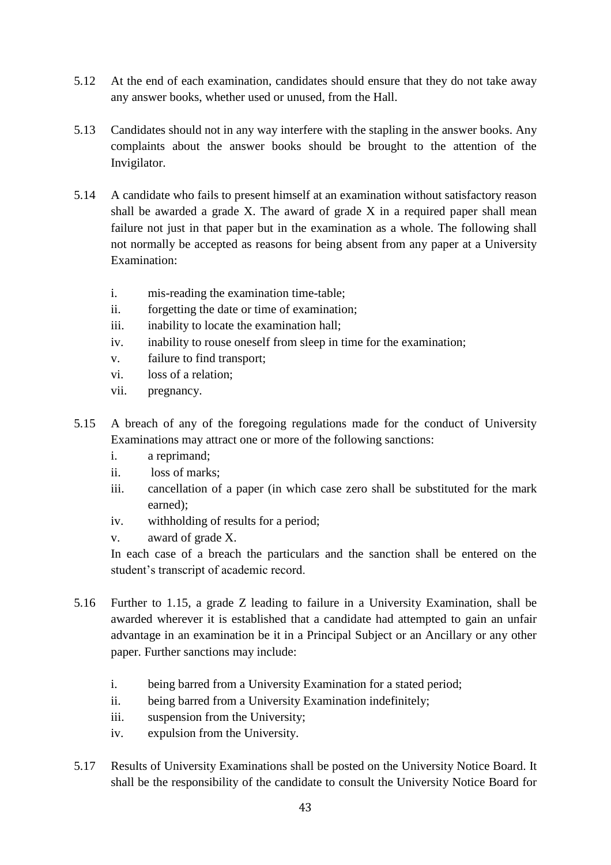- 5.12 At the end of each examination, candidates should ensure that they do not take away any answer books, whether used or unused, from the Hall.
- 5.13 Candidates should not in any way interfere with the stapling in the answer books. Any complaints about the answer books should be brought to the attention of the Invigilator.
- 5.14 A candidate who fails to present himself at an examination without satisfactory reason shall be awarded a grade X. The award of grade X in a required paper shall mean failure not just in that paper but in the examination as a whole. The following shall not normally be accepted as reasons for being absent from any paper at a University Examination:
	- i. mis-reading the examination time-table;
	- ii. forgetting the date or time of examination;
	- iii. inability to locate the examination hall;
	- iv. inability to rouse oneself from sleep in time for the examination;
	- v. failure to find transport;
	- vi. loss of a relation;
	- vii. pregnancy.
- 5.15 A breach of any of the foregoing regulations made for the conduct of University Examinations may attract one or more of the following sanctions:
	- i. a reprimand;
	- ii. loss of marks;
	- iii. cancellation of a paper (in which case zero shall be substituted for the mark earned);
	- iv. withholding of results for a period;
	- v. award of grade X.

In each case of a breach the particulars and the sanction shall be entered on the student's transcript of academic record.

- 5.16 Further to 1.15, a grade Z leading to failure in a University Examination, shall be awarded wherever it is established that a candidate had attempted to gain an unfair advantage in an examination be it in a Principal Subject or an Ancillary or any other paper. Further sanctions may include:
	- i. being barred from a University Examination for a stated period;
	- ii. being barred from a University Examination indefinitely;
	- iii. suspension from the University;
	- iv. expulsion from the University.
- 5.17 Results of University Examinations shall be posted on the University Notice Board. It shall be the responsibility of the candidate to consult the University Notice Board for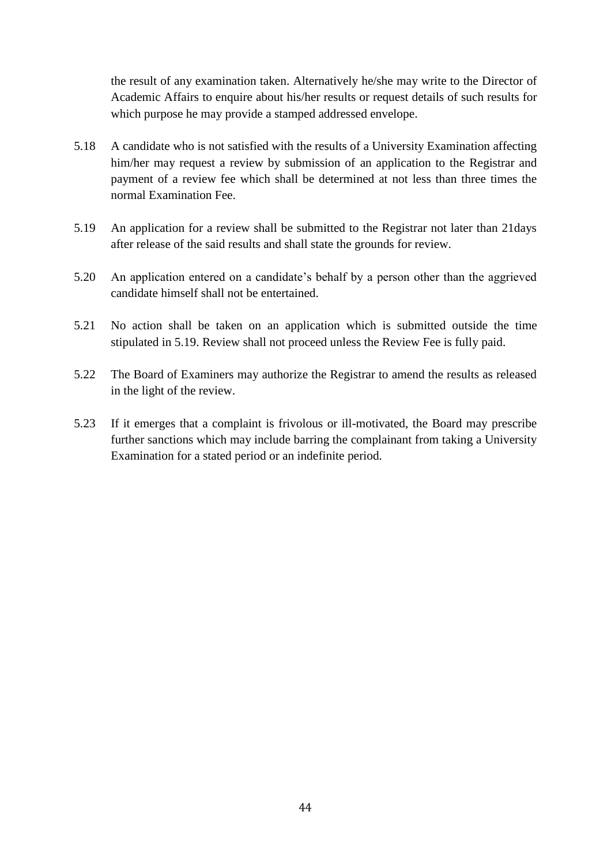the result of any examination taken. Alternatively he/she may write to the Director of Academic Affairs to enquire about his/her results or request details of such results for which purpose he may provide a stamped addressed envelope.

- 5.18 A candidate who is not satisfied with the results of a University Examination affecting him/her may request a review by submission of an application to the Registrar and payment of a review fee which shall be determined at not less than three times the normal Examination Fee.
- 5.19 An application for a review shall be submitted to the Registrar not later than 21days after release of the said results and shall state the grounds for review.
- 5.20 An application entered on a candidate's behalf by a person other than the aggrieved candidate himself shall not be entertained.
- 5.21 No action shall be taken on an application which is submitted outside the time stipulated in 5.19. Review shall not proceed unless the Review Fee is fully paid.
- 5.22 The Board of Examiners may authorize the Registrar to amend the results as released in the light of the review.
- 5.23 If it emerges that a complaint is frivolous or ill-motivated, the Board may prescribe further sanctions which may include barring the complainant from taking a University Examination for a stated period or an indefinite period.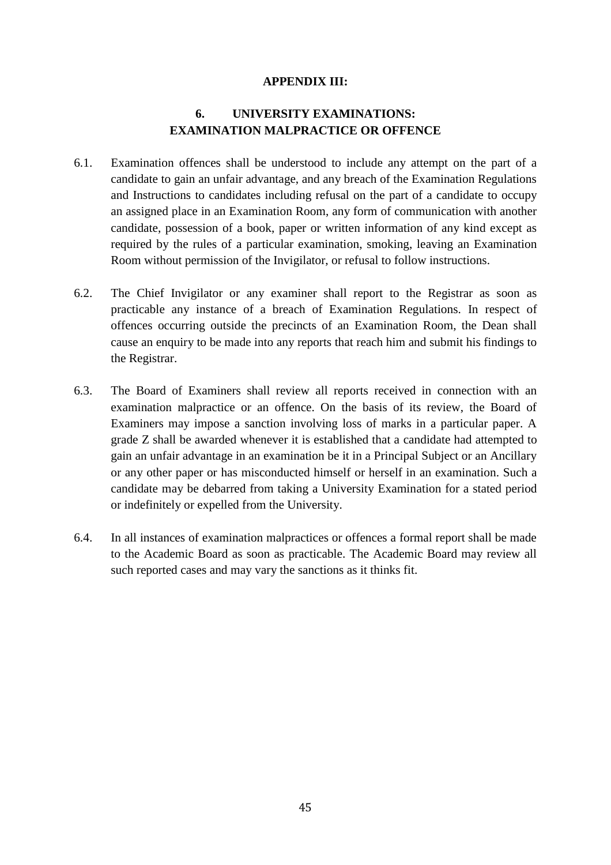#### **APPENDIX III:**

# **6. UNIVERSITY EXAMINATIONS: EXAMINATION MALPRACTICE OR OFFENCE**

- 6.1. Examination offences shall be understood to include any attempt on the part of a candidate to gain an unfair advantage, and any breach of the Examination Regulations and Instructions to candidates including refusal on the part of a candidate to occupy an assigned place in an Examination Room, any form of communication with another candidate, possession of a book, paper or written information of any kind except as required by the rules of a particular examination, smoking, leaving an Examination Room without permission of the Invigilator, or refusal to follow instructions.
- 6.2. The Chief Invigilator or any examiner shall report to the Registrar as soon as practicable any instance of a breach of Examination Regulations. In respect of offences occurring outside the precincts of an Examination Room, the Dean shall cause an enquiry to be made into any reports that reach him and submit his findings to the Registrar.
- 6.3. The Board of Examiners shall review all reports received in connection with an examination malpractice or an offence. On the basis of its review, the Board of Examiners may impose a sanction involving loss of marks in a particular paper. A grade Z shall be awarded whenever it is established that a candidate had attempted to gain an unfair advantage in an examination be it in a Principal Subject or an Ancillary or any other paper or has misconducted himself or herself in an examination. Such a candidate may be debarred from taking a University Examination for a stated period or indefinitely or expelled from the University.
- 6.4. In all instances of examination malpractices or offences a formal report shall be made to the Academic Board as soon as practicable. The Academic Board may review all such reported cases and may vary the sanctions as it thinks fit.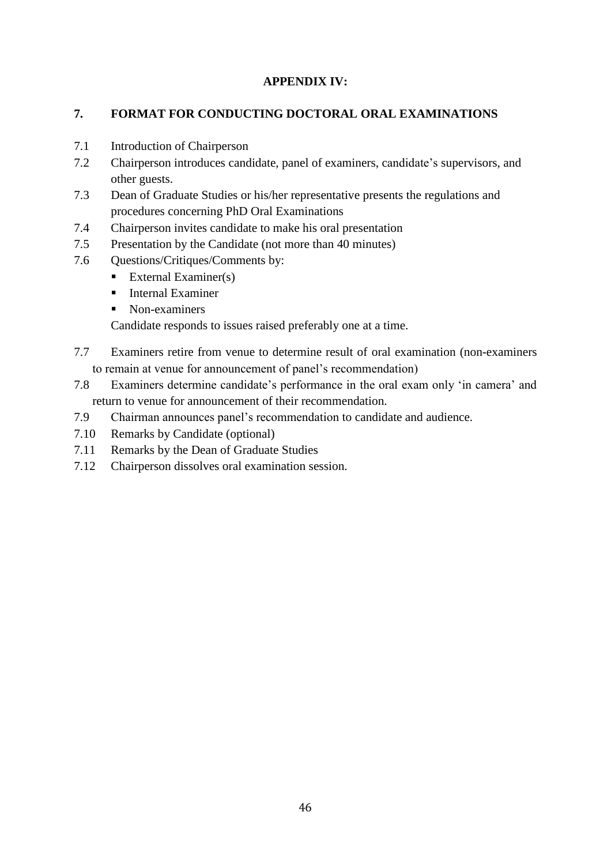# **APPENDIX IV:**

# **7. FORMAT FOR CONDUCTING DOCTORAL ORAL EXAMINATIONS**

- 7.1 Introduction of Chairperson
- 7.2 Chairperson introduces candidate, panel of examiners, candidate's supervisors, and other guests.
- 7.3 Dean of Graduate Studies or his/her representative presents the regulations and procedures concerning PhD Oral Examinations
- 7.4 Chairperson invites candidate to make his oral presentation
- 7.5 Presentation by the Candidate (not more than 40 minutes)
- 7.6 Questions/Critiques/Comments by:
	- **External Examiner(s)**
	- **Internal Examiner**
	- Non-examiners

Candidate responds to issues raised preferably one at a time.

- 7.7 Examiners retire from venue to determine result of oral examination (non-examiners to remain at venue for announcement of panel's recommendation)
- 7.8 Examiners determine candidate's performance in the oral exam only 'in camera' and return to venue for announcement of their recommendation.
- 7.9 Chairman announces panel's recommendation to candidate and audience.
- 7.10 Remarks by Candidate (optional)
- 7.11 Remarks by the Dean of Graduate Studies
- 7.12 Chairperson dissolves oral examination session.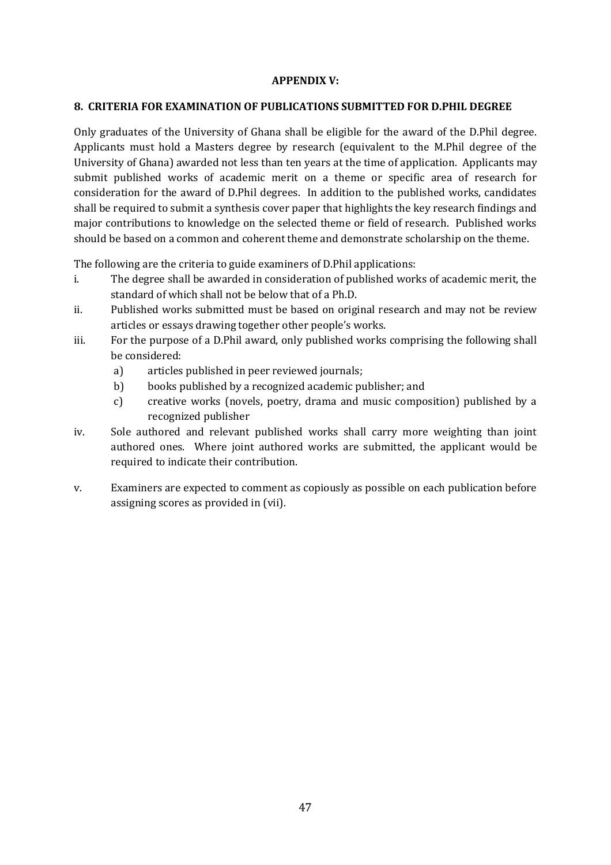#### **APPENDIX V:**

#### **8. CRITERIA FOR EXAMINATION OF PUBLICATIONS SUBMITTED FOR D.PHIL DEGREE**

Only graduates of the University of Ghana shall be eligible for the award of the D.Phil degree. Applicants must hold a Masters degree by research (equivalent to the M.Phil degree of the University of Ghana) awarded not less than ten years at the time of application. Applicants may submit published works of academic merit on a theme or specific area of research for consideration for the award of D.Phil degrees. In addition to the published works, candidates shall be required to submit a synthesis cover paper that highlights the key research findings and major contributions to knowledge on the selected theme or field of research. Published works should be based on a common and coherent theme and demonstrate scholarship on the theme.

The following are the criteria to guide examiners of D.Phil applications:

- i. The degree shall be awarded in consideration of published works of academic merit, the standard of which shall not be below that of a Ph.D.
- ii. Published works submitted must be based on original research and may not be review articles or essays drawing together other people's works.
- iii. For the purpose of a D.Phil award, only published works comprising the following shall be considered:
	- a) articles published in peer reviewed journals;
	- b) books published by a recognized academic publisher; and
	- c) creative works (novels, poetry, drama and music composition) published by a recognized publisher
- iv. Sole authored and relevant published works shall carry more weighting than joint authored ones. Where joint authored works are submitted, the applicant would be required to indicate their contribution.
- v. Examiners are expected to comment as copiously as possible on each publication before assigning scores as provided in (vii).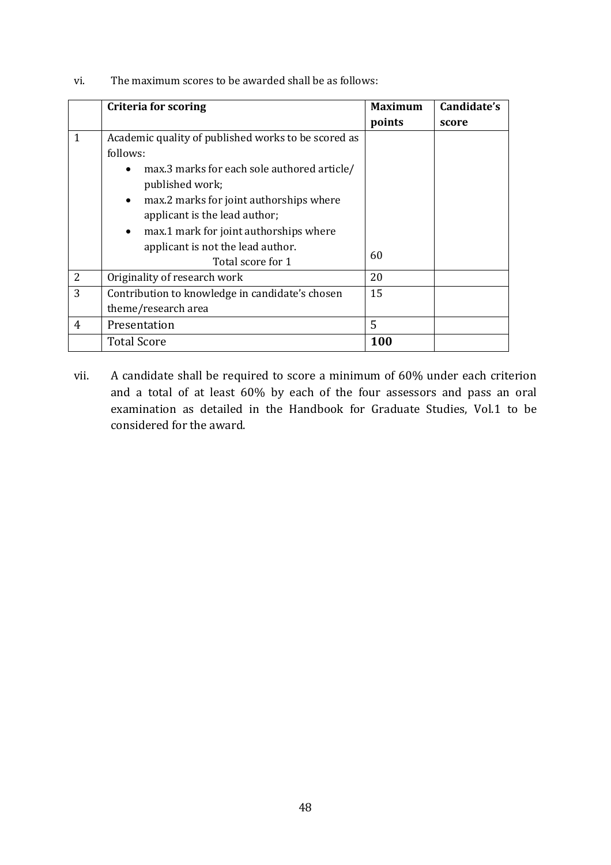vi. The maximum scores to be awarded shall be as follows:

|                | <b>Criteria for scoring</b>                         | <b>Maximum</b> | Candidate's |
|----------------|-----------------------------------------------------|----------------|-------------|
|                |                                                     | points         | score       |
| $\mathbf{1}$   | Academic quality of published works to be scored as |                |             |
|                | follows:                                            |                |             |
|                | max.3 marks for each sole authored article/         |                |             |
|                | published work;                                     |                |             |
|                | max.2 marks for joint authorships where             |                |             |
|                | applicant is the lead author;                       |                |             |
|                | max.1 mark for joint authorships where<br>$\bullet$ |                |             |
|                | applicant is not the lead author.                   |                |             |
|                | Total score for 1                                   | 60             |             |
| $\overline{2}$ | Originality of research work                        | 20             |             |
| 3              | Contribution to knowledge in candidate's chosen     | 15             |             |
|                | theme/research area                                 |                |             |
| 4              | Presentation                                        | 5              |             |
|                | <b>Total Score</b>                                  | 100            |             |

vii. A candidate shall be required to score a minimum of 60% under each criterion and a total of at least 60% by each of the four assessors and pass an oral examination as detailed in the Handbook for Graduate Studies, Vol.1 to be considered for the award.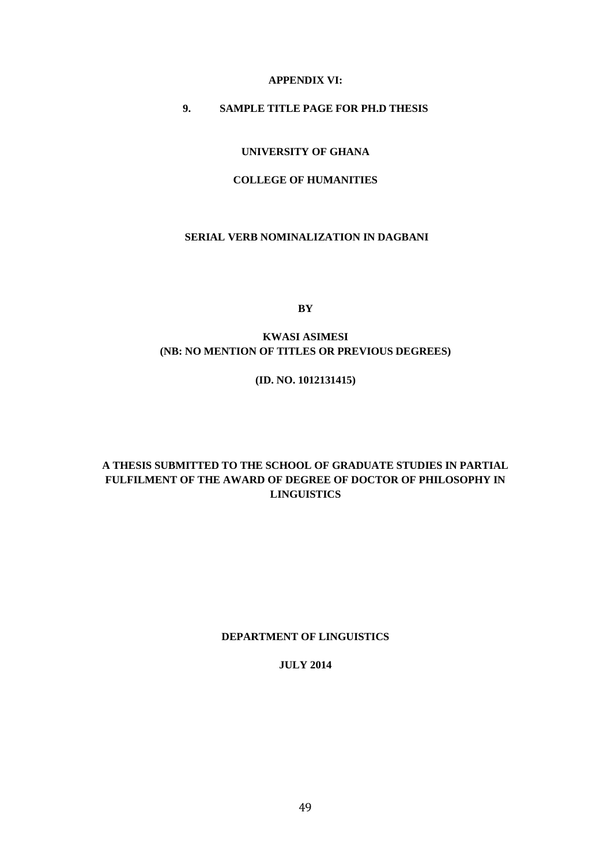#### **APPENDIX VI:**

## **9. SAMPLE TITLE PAGE FOR PH.D THESIS**

#### **UNIVERSITY OF GHANA**

#### **COLLEGE OF HUMANITIES**

#### **SERIAL VERB NOMINALIZATION IN DAGBANI**

**BY**

## **KWASI ASIMESI (NB: NO MENTION OF TITLES OR PREVIOUS DEGREES)**

#### **(ID. NO. 1012131415)**

#### **A THESIS SUBMITTED TO THE SCHOOL OF GRADUATE STUDIES IN PARTIAL FULFILMENT OF THE AWARD OF DEGREE OF DOCTOR OF PHILOSOPHY IN LINGUISTICS**

#### **DEPARTMENT OF LINGUISTICS**

#### **JULY 2014**